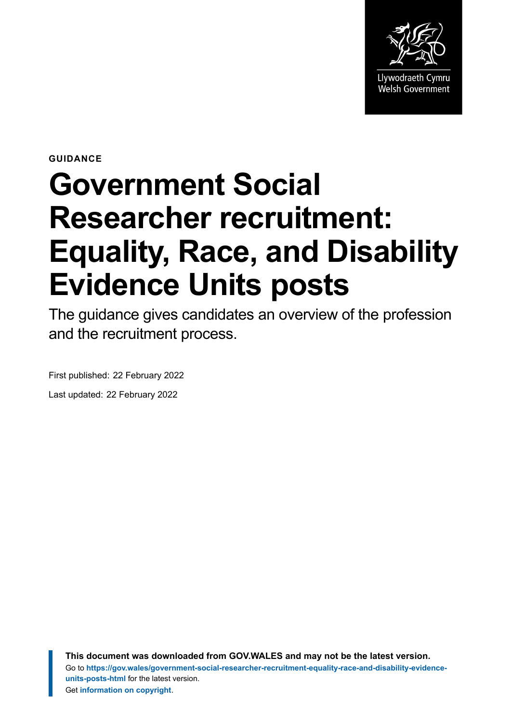

**GUIDANCE**

# **Government Social Researcher recruitment: Equality, Race, and Disability Evidence Units posts**

The guidance gives candidates an overview of the profession and the recruitment process.

First published: 22 February 2022

Last updated: 22 February 2022

**This document was downloaded from GOV.WALES and may not be the latest version.** Go to **[https://gov.wales/government-social-researcher-recruitment-equality-race-and-disability-evidence](https://gov.wales/government-social-researcher-recruitment-equality-race-and-disability-evidence-units-posts-html)[units-posts-html](https://gov.wales/government-social-researcher-recruitment-equality-race-and-disability-evidence-units-posts-html)** for the latest version. Get **[information on copyright](https://gov.wales/copyright-statement)**.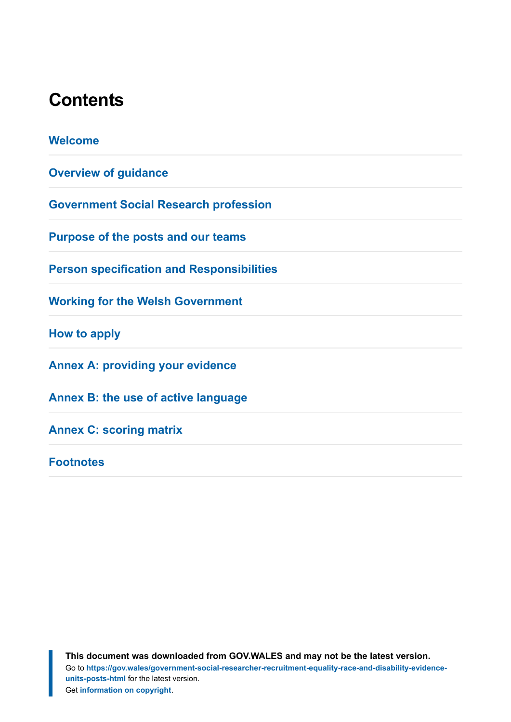## **Contents**

| <b>Welcome</b>                                   |
|--------------------------------------------------|
| <b>Overview of guidance</b>                      |
| <b>Government Social Research profession</b>     |
| <b>Purpose of the posts and our teams</b>        |
| <b>Person specification and Responsibilities</b> |
| <b>Working for the Welsh Government</b>          |
| How to apply                                     |
| <b>Annex A: providing your evidence</b>          |
| Annex B: the use of active language              |
| <b>Annex C: scoring matrix</b>                   |
| <b>Footnotes</b>                                 |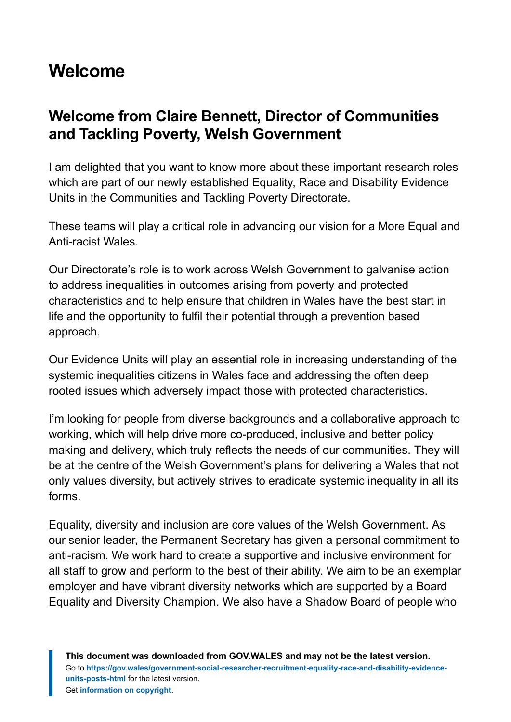## <span id="page-2-0"></span>**Welcome**

## **Welcome from Claire Bennett, Director of Communities and Tackling Poverty, Welsh Government**

I am delighted that you want to know more about these important research roles which are part of our newly established Equality, Race and Disability Evidence Units in the Communities and Tackling Poverty Directorate.

These teams will play a critical role in advancing our vision for a More Equal and Anti-racist Wales.

Our Directorate's role is to work across Welsh Government to galvanise action to address inequalities in outcomes arising from poverty and protected characteristics and to help ensure that children in Wales have the best start in life and the opportunity to fulfil their potential through a prevention based approach.

Our Evidence Units will play an essential role in increasing understanding of the systemic inequalities citizens in Wales face and addressing the often deep rooted issues which adversely impact those with protected characteristics.

I'm looking for people from diverse backgrounds and a collaborative approach to working, which will help drive more co-produced, inclusive and better policy making and delivery, which truly reflects the needs of our communities. They will be at the centre of the Welsh Government's plans for delivering a Wales that not only values diversity, but actively strives to eradicate systemic inequality in all its forms.

Equality, diversity and inclusion are core values of the Welsh Government. As our senior leader, the Permanent Secretary has given a personal commitment to anti-racism. We work hard to create a supportive and inclusive environment for all staff to grow and perform to the best of their ability. We aim to be an exemplar employer and have vibrant diversity networks which are supported by a Board Equality and Diversity Champion. We also have a Shadow Board of people who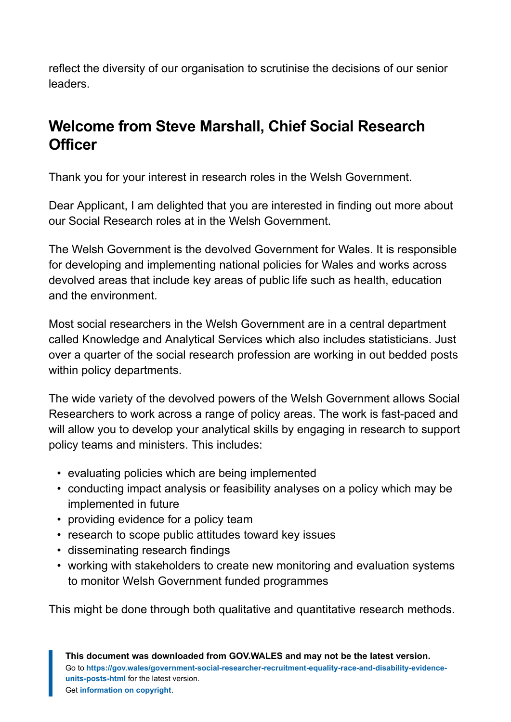reflect the diversity of our organisation to scrutinise the decisions of our senior leaders.

## **Welcome from Steve Marshall, Chief Social Research Officer**

Thank you for your interest in research roles in the Welsh Government.

Dear Applicant, I am delighted that you are interested in finding out more about our Social Research roles at in the Welsh Government.

The Welsh Government is the devolved Government for Wales. It is responsible for developing and implementing national policies for Wales and works across devolved areas that include key areas of public life such as health, education and the environment.

Most social researchers in the Welsh Government are in a central department called Knowledge and Analytical Services which also includes statisticians. Just over a quarter of the social research profession are working in out bedded posts within policy departments.

The wide variety of the devolved powers of the Welsh Government allows Social Researchers to work across a range of policy areas. The work is fast-paced and will allow you to develop your analytical skills by engaging in research to support policy teams and ministers. This includes:

- evaluating policies which are being implemented
- conducting impact analysis or feasibility analyses on a policy which may be implemented in future
- providing evidence for a policy team
- research to scope public attitudes toward key issues
- disseminating research findings
- working with stakeholders to create new monitoring and evaluation systems to monitor Welsh Government funded programmes

This might be done through both qualitative and quantitative research methods.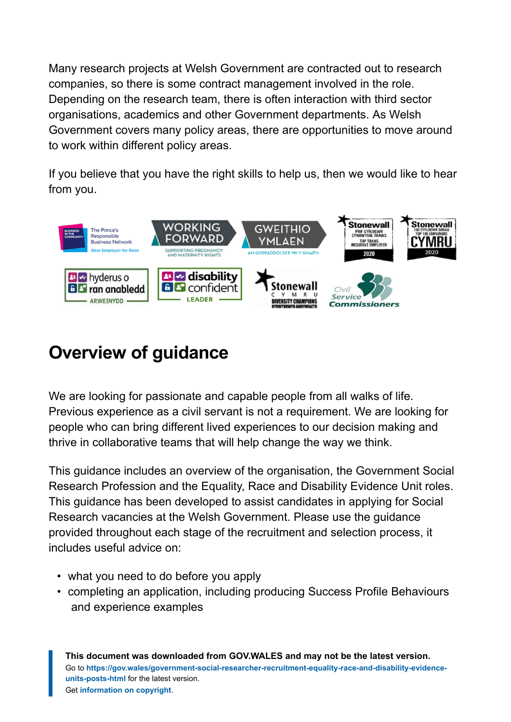Many research projects at Welsh Government are contracted out to research companies, so there is some contract management involved in the role. Depending on the research team, there is often interaction with third sector organisations, academics and other Government departments. As Welsh Government covers many policy areas, there are opportunities to move around to work within different policy areas.

If you believe that you have the right skills to help us, then we would like to hear from you.



## <span id="page-4-0"></span>**Overview of guidance**

We are looking for passionate and capable people from all walks of life. Previous experience as a civil servant is not a requirement. We are looking for people who can bring different lived experiences to our decision making and thrive in collaborative teams that will help change the way we think.

This guidance includes an overview of the organisation, the Government Social Research Profession and the Equality, Race and Disability Evidence Unit roles. This guidance has been developed to assist candidates in applying for Social Research vacancies at the Welsh Government. Please use the guidance provided throughout each stage of the recruitment and selection process, it includes useful advice on:

- what you need to do before you apply
- completing an application, including producing Success Profile Behaviours and experience examples

**This document was downloaded from GOV.WALES and may not be the latest version.** Go to **[https://gov.wales/government-social-researcher-recruitment-equality-race-and-disability-evidence](https://gov.wales/government-social-researcher-recruitment-equality-race-and-disability-evidence-units-posts-html)[units-posts-html](https://gov.wales/government-social-researcher-recruitment-equality-race-and-disability-evidence-units-posts-html)** for the latest version. Get **[information on copyright](https://gov.wales/copyright-statement)**.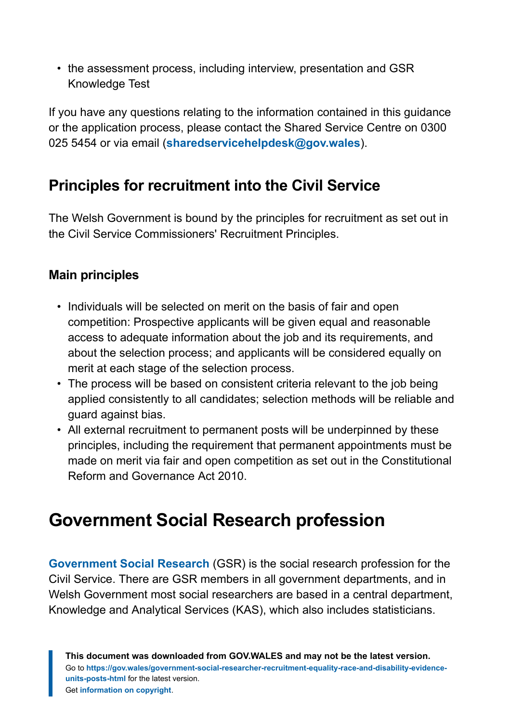• the assessment process, including interview, presentation and GSR Knowledge Test

If you have any questions relating to the information contained in this guidance or the application process, please contact the Shared Service Centre on 0300 025 5454 or via email (**[sharedservicehelpdesk@gov.wales](mailto:SharedServiceHelpdesk@gov.wales)**).

## **Principles for recruitment into the Civil Service**

The Welsh Government is bound by the principles for recruitment as set out in the Civil Service Commissioners' Recruitment Principles.

## **Main principles**

- Individuals will be selected on merit on the basis of fair and open competition: Prospective applicants will be given equal and reasonable access to adequate information about the job and its requirements, and about the selection process; and applicants will be considered equally on merit at each stage of the selection process.
- The process will be based on consistent criteria relevant to the job being applied consistently to all candidates; selection methods will be reliable and guard against bias.
- All external recruitment to permanent posts will be underpinned by these principles, including the requirement that permanent appointments must be made on merit via fair and open competition as set out in the Constitutional Reform and Governance Act 2010.

## <span id="page-5-0"></span>**Government Social Research profession**

**[Government Social Research](https://www.gov.uk/government/organisations/civil-service-government-social-research-profession/about)** (GSR) is the social research profession for the Civil Service. There are GSR members in all government departments, and in Welsh Government most social researchers are based in a central department, Knowledge and Analytical Services (KAS), which also includes statisticians.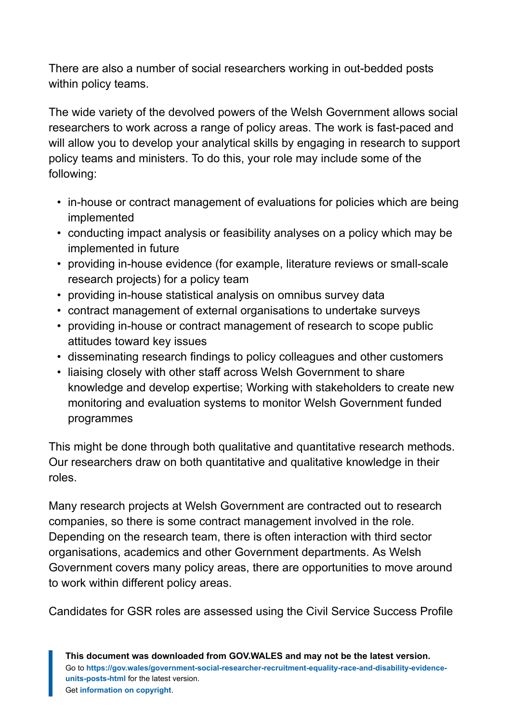There are also a number of social researchers working in out-bedded posts within policy teams.

The wide variety of the devolved powers of the Welsh Government allows social researchers to work across a range of policy areas. The work is fast-paced and will allow you to develop your analytical skills by engaging in research to support policy teams and ministers. To do this, your role may include some of the following:

- in-house or contract management of evaluations for policies which are being implemented
- conducting impact analysis or feasibility analyses on a policy which may be implemented in future
- providing in-house evidence (for example, literature reviews or small-scale research projects) for a policy team
- providing in-house statistical analysis on omnibus survey data
- contract management of external organisations to undertake surveys
- providing in-house or contract management of research to scope public attitudes toward key issues
- disseminating research findings to policy colleagues and other customers
- liaising closely with other staff across Welsh Government to share knowledge and develop expertise; Working with stakeholders to create new monitoring and evaluation systems to monitor Welsh Government funded programmes

This might be done through both qualitative and quantitative research methods. Our researchers draw on both quantitative and qualitative knowledge in their roles.

Many research projects at Welsh Government are contracted out to research companies, so there is some contract management involved in the role. Depending on the research team, there is often interaction with third sector organisations, academics and other Government departments. As Welsh Government covers many policy areas, there are opportunities to move around to work within different policy areas.

Candidates for GSR roles are assessed using the Civil Service Success Profile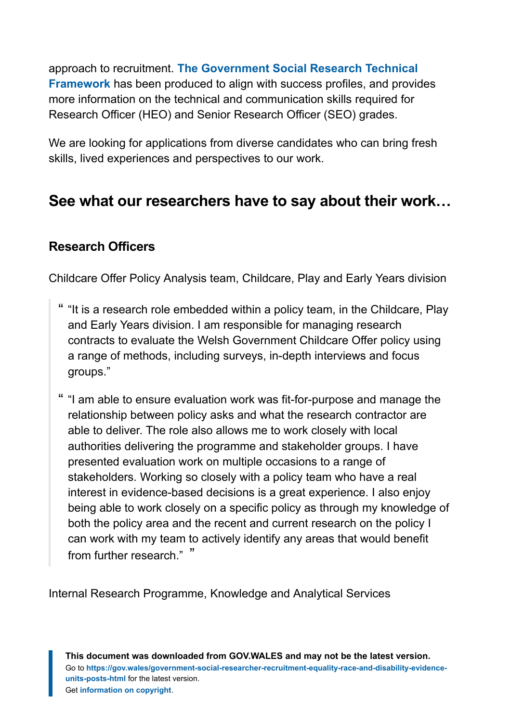approach to recruitment. **[The Government Social Research Technical](https://www.gov.uk/guidance/the-government-social-research-competency-framework) [Framework](https://www.gov.uk/guidance/the-government-social-research-competency-framework)** has been produced to align with success profiles, and provides more information on the technical and communication skills required for Research Officer (HEO) and Senior Research Officer (SEO) grades.

We are looking for applications from diverse candidates who can bring fresh skills, lived experiences and perspectives to our work.

## **See what our researchers have to say about their work…**

### **Research Officers**

Childcare Offer Policy Analysis team, Childcare, Play and Early Years division

- " "It is a research role embedded within a policy team, in the Childcare, Play and Early Years division. I am responsible for managing research contracts to evaluate the Welsh Government Childcare Offer policy using a range of methods, including surveys, in-depth interviews and focus groups."
- " "I am able to ensure evaluation work was fit-for-purpose and manage the relationship between policy asks and what the research contractor are able to deliver. The role also allows me to work closely with local authorities delivering the programme and stakeholder groups. I have presented evaluation work on multiple occasions to a range of stakeholders. Working so closely with a policy team who have a real interest in evidence-based decisions is a great experience. I also enjoy being able to work closely on a specific policy as through my knowledge of both the policy area and the recent and current research on the policy I can work with my team to actively identify any areas that would benefit from further research." "

Internal Research Programme, Knowledge and Analytical Services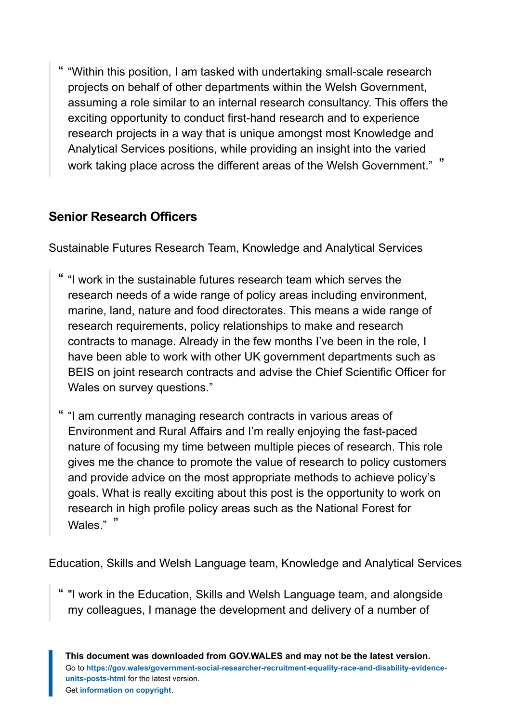" "Within this position, I am tasked with undertaking small-scale research projects on behalf of other departments within the Welsh Government, assuming a role similar to an internal research consultancy. This offers the exciting opportunity to conduct first-hand research and to experience research projects in a way that is unique amongst most Knowledge and Analytical Services positions, while providing an insight into the varied work taking place across the different areas of the Welsh Government." "

### **Senior Research Officers**

Sustainable Futures Research Team, Knowledge and Analytical Services

- " "I work in the sustainable futures research team which serves the research needs of a wide range of policy areas including environment, marine, land, nature and food directorates. This means a wide range of research requirements, policy relationships to make and research contracts to manage. Already in the few months I've been in the role, I have been able to work with other UK government departments such as BEIS on joint research contracts and advise the Chief Scientific Officer for Wales on survey questions."
- " "I am currently managing research contracts in various areas of Environment and Rural Affairs and I'm really enjoying the fast-paced nature of focusing my time between multiple pieces of research. This role gives me the chance to promote the value of research to policy customers and provide advice on the most appropriate methods to achieve policy's goals. What is really exciting about this post is the opportunity to work on research in high profile policy areas such as the National Forest for Wales." "

Education, Skills and Welsh Language team, Knowledge and Analytical Services

" "I work in the Education, Skills and Welsh Language team, and alongside my colleagues, I manage the development and delivery of a number of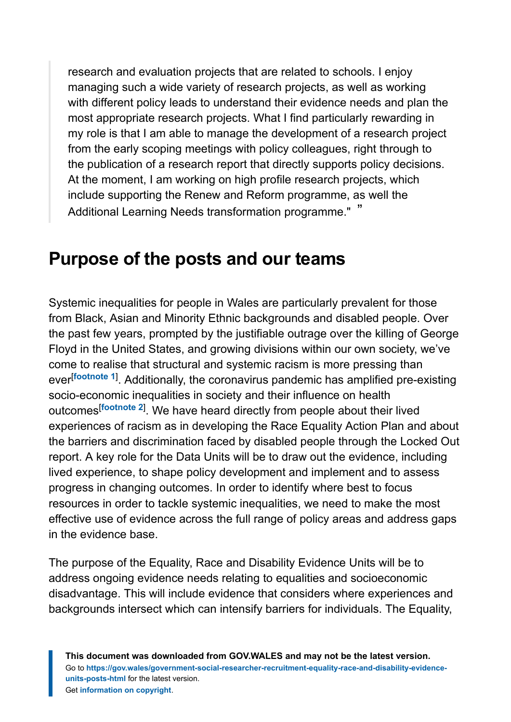research and evaluation projects that are related to schools. I enjoy managing such a wide variety of research projects, as well as working with different policy leads to understand their evidence needs and plan the most appropriate research projects. What I find particularly rewarding in my role is that I am able to manage the development of a research project from the early scoping meetings with policy colleagues, right through to the publication of a research report that directly supports policy decisions. At the moment, I am working on high profile research projects, which include supporting the Renew and Reform programme, as well the Additional Learning Needs transformation programme." "

## <span id="page-9-0"></span>**Purpose of the posts and our teams**

<span id="page-9-2"></span><span id="page-9-1"></span>Systemic inequalities for people in Wales are particularly prevalent for those from Black, Asian and Minority Ethnic backgrounds and disabled people. Over the past few years, prompted by the justifiable outrage over the killing of George Floyd in the United States, and growing divisions within our own society, we've come to realise that structural and systemic racism is more pressing than ever[**[footnote 1](#page-43-1)**] . Additionally, the coronavirus pandemic has amplified pre-existing socio-economic inequalities in society and their influence on health outcomes[**[footnote 2](#page-43-2)**] . We have heard directly from people about their lived experiences of racism as in developing the Race Equality Action Plan and about the barriers and discrimination faced by disabled people through the Locked Out report. A key role for the Data Units will be to draw out the evidence, including lived experience, to shape policy development and implement and to assess progress in changing outcomes. In order to identify where best to focus resources in order to tackle systemic inequalities, we need to make the most effective use of evidence across the full range of policy areas and address gaps in the evidence base.

The purpose of the Equality, Race and Disability Evidence Units will be to address ongoing evidence needs relating to equalities and socioeconomic disadvantage. This will include evidence that considers where experiences and backgrounds intersect which can intensify barriers for individuals. The Equality,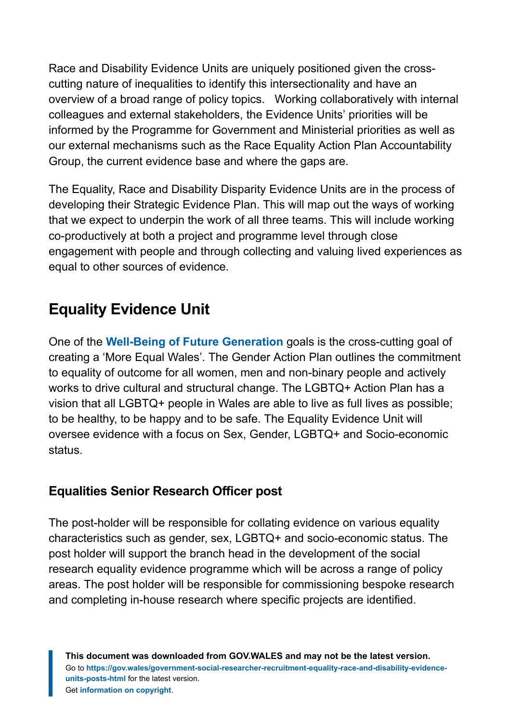Race and Disability Evidence Units are uniquely positioned given the crosscutting nature of inequalities to identify this intersectionality and have an overview of a broad range of policy topics. Working collaboratively with internal colleagues and external stakeholders, the Evidence Units' priorities will be informed by the Programme for Government and Ministerial priorities as well as our external mechanisms such as the Race Equality Action Plan Accountability Group, the current evidence base and where the gaps are.

The Equality, Race and Disability Disparity Evidence Units are in the process of developing their Strategic Evidence Plan. This will map out the ways of working that we expect to underpin the work of all three teams. This will include working co-productively at both a project and programme level through close engagement with people and through collecting and valuing lived experiences as equal to other sources of evidence.

## **Equality Evidence Unit**

One of the **[Well-Being of Future Generation](https://gov.wales/well-being-of-future-generations-wales)** goals is the cross-cutting goal of creating a 'More Equal Wales'. The Gender Action Plan outlines the commitment to equality of outcome for all women, men and non-binary people and actively works to drive cultural and structural change. The LGBTQ+ Action Plan has a vision that all LGBTQ+ people in Wales are able to live as full lives as possible; to be healthy, to be happy and to be safe. The Equality Evidence Unit will oversee evidence with a focus on Sex, Gender, LGBTQ+ and Socio-economic status.

## **Equalities Senior Research Officer post**

The post-holder will be responsible for collating evidence on various equality characteristics such as gender, sex, LGBTQ+ and socio-economic status. The post holder will support the branch head in the development of the social research equality evidence programme which will be across a range of policy areas. The post holder will be responsible for commissioning bespoke research and completing in-house research where specific projects are identified.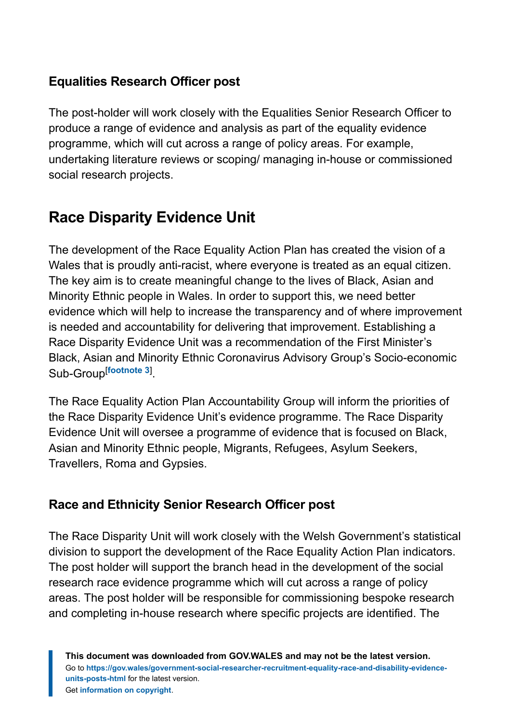## **Equalities Research Officer post**

The post-holder will work closely with the Equalities Senior Research Officer to produce a range of evidence and analysis as part of the equality evidence programme, which will cut across a range of policy areas. For example, undertaking literature reviews or scoping/ managing in-house or commissioned social research projects.

## **Race Disparity Evidence Unit**

The development of the Race Equality Action Plan has created the vision of a Wales that is proudly anti-racist, where everyone is treated as an equal citizen. The key aim is to create meaningful change to the lives of Black, Asian and Minority Ethnic people in Wales. In order to support this, we need better evidence which will help to increase the transparency and of where improvement is needed and accountability for delivering that improvement. Establishing a Race Disparity Evidence Unit was a recommendation of the First Minister's Black, Asian and Minority Ethnic Coronavirus Advisory Group's Socio-economic Sub-Group[**[footnote 3](#page-43-3)**] .

<span id="page-11-0"></span>The Race Equality Action Plan Accountability Group will inform the priorities of the Race Disparity Evidence Unit's evidence programme. The Race Disparity Evidence Unit will oversee a programme of evidence that is focused on Black, Asian and Minority Ethnic people, Migrants, Refugees, Asylum Seekers, Travellers, Roma and Gypsies.

## **Race and Ethnicity Senior Research Officer post**

The Race Disparity Unit will work closely with the Welsh Government's statistical division to support the development of the Race Equality Action Plan indicators. The post holder will support the branch head in the development of the social research race evidence programme which will cut across a range of policy areas. The post holder will be responsible for commissioning bespoke research and completing in-house research where specific projects are identified. The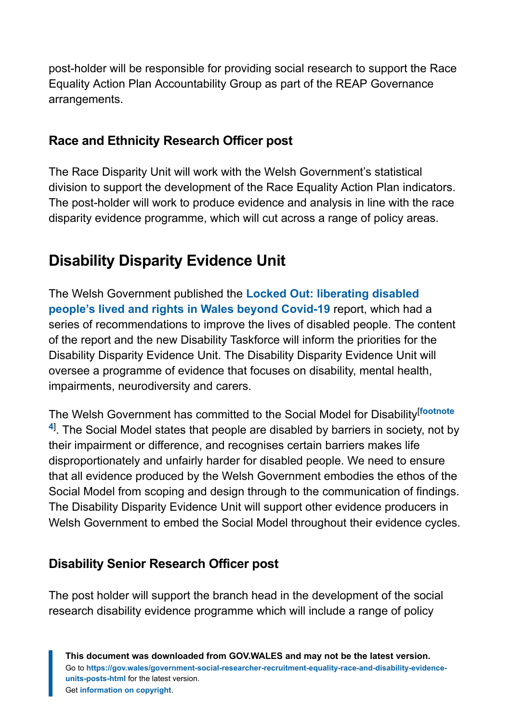post-holder will be responsible for providing social research to support the Race Equality Action Plan Accountability Group as part of the REAP Governance arrangements.

## **Race and Ethnicity Research Officer post**

The Race Disparity Unit will work with the Welsh Government's statistical division to support the development of the Race Equality Action Plan indicators. The post-holder will work to produce evidence and analysis in line with the race disparity evidence programme, which will cut across a range of policy areas.

## **Disability Disparity Evidence Unit**

The Welsh Government published the **[Locked Out: liberating disabled](https://gov.wales/locked-out-liberating-disabled-peoples-lives-and-rights-wales-beyond-covid-19) [people's lived and rights in Wales beyond Covid-19](https://gov.wales/locked-out-liberating-disabled-peoples-lives-and-rights-wales-beyond-covid-19)** report, which had a series of recommendations to improve the lives of disabled people. The content of the report and the new Disability Taskforce will inform the priorities for the Disability Disparity Evidence Unit. The Disability Disparity Evidence Unit will oversee a programme of evidence that focuses on disability, mental health, impairments, neurodiversity and carers.

<span id="page-12-0"></span>The Welsh Government has committed to the Social Model for Disability[**[footnote](#page-43-4) [4](#page-43-4)**] . The Social Model states that people are disabled by barriers in society, not by their impairment or difference, and recognises certain barriers makes life disproportionately and unfairly harder for disabled people. We need to ensure that all evidence produced by the Welsh Government embodies the ethos of the Social Model from scoping and design through to the communication of findings. The Disability Disparity Evidence Unit will support other evidence producers in Welsh Government to embed the Social Model throughout their evidence cycles.

## **Disability Senior Research Officer post**

The post holder will support the branch head in the development of the social research disability evidence programme which will include a range of policy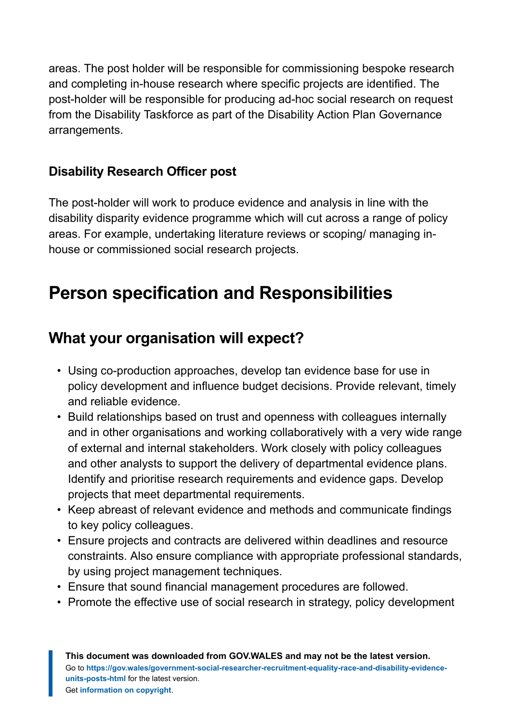areas. The post holder will be responsible for commissioning bespoke research and completing in-house research where specific projects are identified. The post-holder will be responsible for producing ad-hoc social research on request from the Disability Taskforce as part of the Disability Action Plan Governance arrangements.

## **Disability Research Officer post**

The post-holder will work to produce evidence and analysis in line with the disability disparity evidence programme which will cut across a range of policy areas. For example, undertaking literature reviews or scoping/ managing inhouse or commissioned social research projects.

## <span id="page-13-0"></span>**Person specification and Responsibilities**

## **What your organisation will expect?**

- Using co-production approaches, develop tan evidence base for use in policy development and influence budget decisions. Provide relevant, timely and reliable evidence.
- Build relationships based on trust and openness with colleagues internally and in other organisations and working collaboratively with a very wide range of external and internal stakeholders. Work closely with policy colleagues and other analysts to support the delivery of departmental evidence plans. Identify and prioritise research requirements and evidence gaps. Develop projects that meet departmental requirements.
- Keep abreast of relevant evidence and methods and communicate findings to key policy colleagues.
- Ensure projects and contracts are delivered within deadlines and resource constraints. Also ensure compliance with appropriate professional standards, by using project management techniques.
- Ensure that sound financial management procedures are followed.
- Promote the effective use of social research in strategy, policy development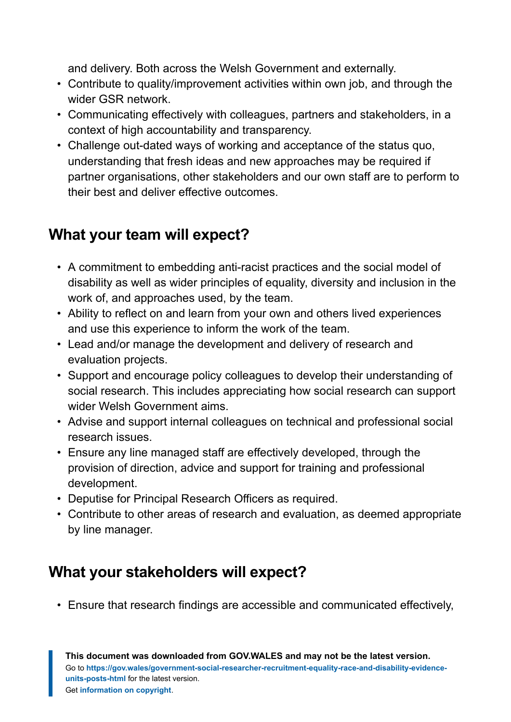and delivery. Both across the Welsh Government and externally.

- Contribute to quality/improvement activities within own job, and through the wider GSR network.
- Communicating effectively with colleagues, partners and stakeholders, in a context of high accountability and transparency.
- Challenge out-dated ways of working and acceptance of the status quo, understanding that fresh ideas and new approaches may be required if partner organisations, other stakeholders and our own staff are to perform to their best and deliver effective outcomes.

## **What your team will expect?**

- A commitment to embedding anti-racist practices and the social model of disability as well as wider principles of equality, diversity and inclusion in the work of, and approaches used, by the team.
- Ability to reflect on and learn from your own and others lived experiences and use this experience to inform the work of the team.
- Lead and/or manage the development and delivery of research and evaluation projects.
- Support and encourage policy colleagues to develop their understanding of social research. This includes appreciating how social research can support wider Welsh Government aims.
- Advise and support internal colleagues on technical and professional social research issues.
- Ensure any line managed staff are effectively developed, through the provision of direction, advice and support for training and professional development.
- Deputise for Principal Research Officers as required.
- Contribute to other areas of research and evaluation, as deemed appropriate by line manager.

## **What your stakeholders will expect?**

• Ensure that research findings are accessible and communicated effectively,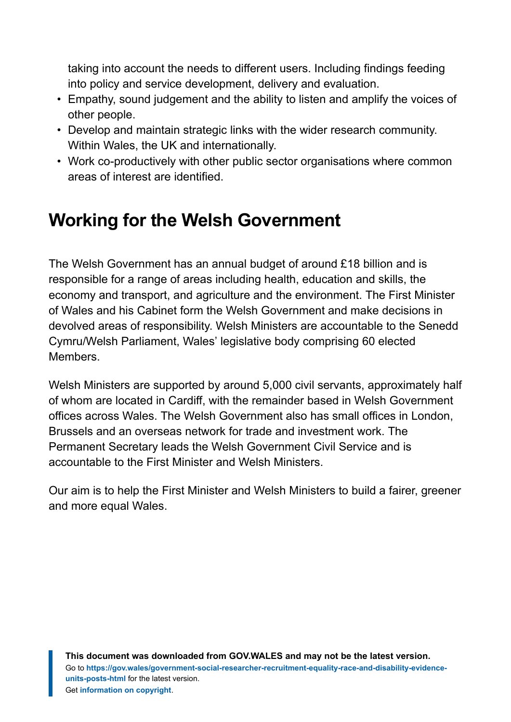taking into account the needs to different users. Including findings feeding into policy and service development, delivery and evaluation.

- Empathy, sound judgement and the ability to listen and amplify the voices of other people.
- Develop and maintain strategic links with the wider research community. Within Wales, the UK and internationally.
- Work co-productively with other public sector organisations where common areas of interest are identified.

## <span id="page-15-0"></span>**Working for the Welsh Government**

The Welsh Government has an annual budget of around £18 billion and is responsible for a range of areas including health, education and skills, the economy and transport, and agriculture and the environment. The First Minister of Wales and his Cabinet form the Welsh Government and make decisions in devolved areas of responsibility. Welsh Ministers are accountable to the Senedd Cymru/Welsh Parliament, Wales' legislative body comprising 60 elected Members.

Welsh Ministers are supported by around 5,000 civil servants, approximately half of whom are located in Cardiff, with the remainder based in Welsh Government offices across Wales. The Welsh Government also has small offices in London, Brussels and an overseas network for trade and investment work. The Permanent Secretary leads the Welsh Government Civil Service and is accountable to the First Minister and Welsh Ministers.

Our aim is to help the First Minister and Welsh Ministers to build a fairer, greener and more equal Wales.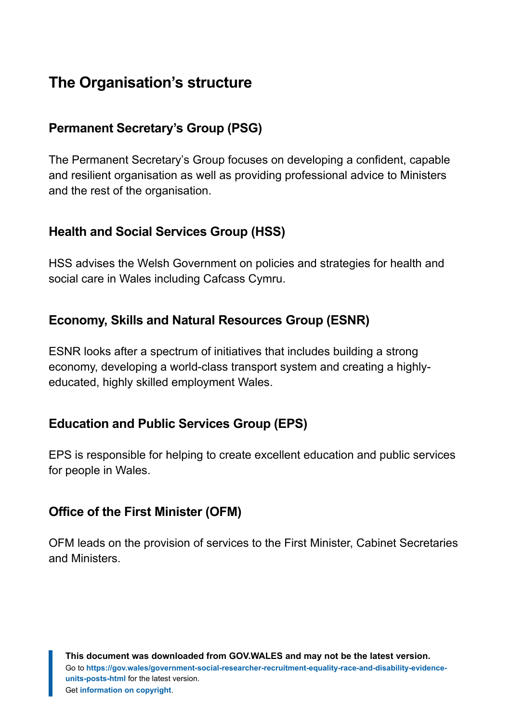## **The Organisation's structure**

## **Permanent Secretary's Group (PSG)**

The Permanent Secretary's Group focuses on developing a confident, capable and resilient organisation as well as providing professional advice to Ministers and the rest of the organisation.

### **Health and Social Services Group (HSS)**

HSS advises the Welsh Government on policies and strategies for health and social care in Wales including Cafcass Cymru.

### **Economy, Skills and Natural Resources Group (ESNR)**

ESNR looks after a spectrum of initiatives that includes building a strong economy, developing a world-class transport system and creating a highlyeducated, highly skilled employment Wales.

### **Education and Public Services Group (EPS)**

EPS is responsible for helping to create excellent education and public services for people in Wales.

### **Office of the First Minister (OFM)**

OFM leads on the provision of services to the First Minister, Cabinet Secretaries and Ministers.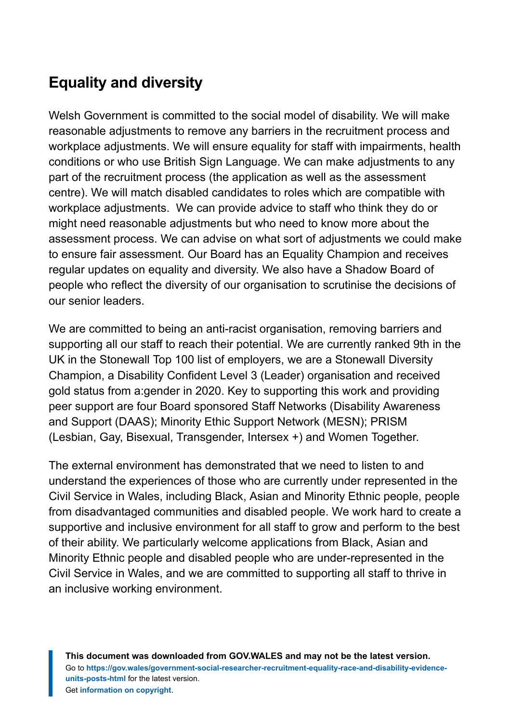## **Equality and diversity**

Welsh Government is committed to the social model of disability. We will make reasonable adjustments to remove any barriers in the recruitment process and workplace adjustments. We will ensure equality for staff with impairments, health conditions or who use British Sign Language. We can make adjustments to any part of the recruitment process (the application as well as the assessment centre). We will match disabled candidates to roles which are compatible with workplace adjustments. We can provide advice to staff who think they do or might need reasonable adjustments but who need to know more about the assessment process. We can advise on what sort of adjustments we could make to ensure fair assessment. Our Board has an Equality Champion and receives regular updates on equality and diversity. We also have a Shadow Board of people who reflect the diversity of our organisation to scrutinise the decisions of our senior leaders.

We are committed to being an anti-racist organisation, removing barriers and supporting all our staff to reach their potential. We are currently ranked 9th in the UK in the Stonewall Top 100 list of employers, we are a Stonewall Diversity Champion, a Disability Confident Level 3 (Leader) organisation and received gold status from a:gender in 2020. Key to supporting this work and providing peer support are four Board sponsored Staff Networks (Disability Awareness and Support (DAAS); Minority Ethic Support Network (MESN); PRISM (Lesbian, Gay, Bisexual, Transgender, Intersex +) and Women Together.

The external environment has demonstrated that we need to listen to and understand the experiences of those who are currently under represented in the Civil Service in Wales, including Black, Asian and Minority Ethnic people, people from disadvantaged communities and disabled people. We work hard to create a supportive and inclusive environment for all staff to grow and perform to the best of their ability. We particularly welcome applications from Black, Asian and Minority Ethnic people and disabled people who are under-represented in the Civil Service in Wales, and we are committed to supporting all staff to thrive in an inclusive working environment.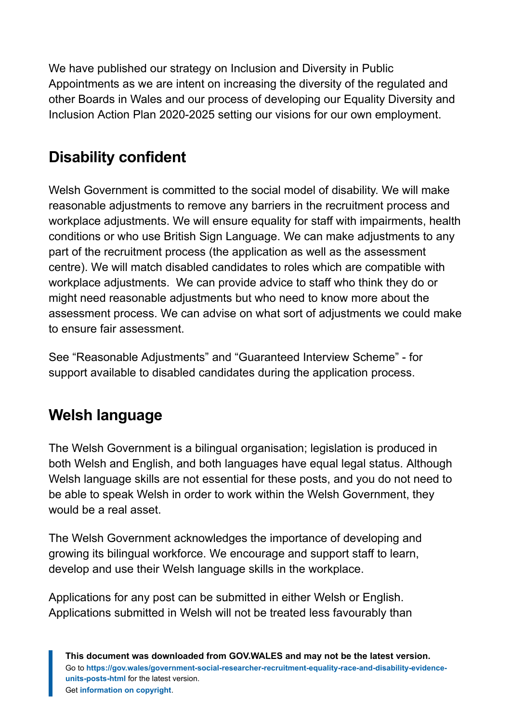We have published our strategy on Inclusion and Diversity in Public Appointments as we are intent on increasing the diversity of the regulated and other Boards in Wales and our process of developing our Equality Diversity and Inclusion Action Plan 2020-2025 setting our visions for our own employment.

## **Disability confident**

Welsh Government is committed to the social model of disability. We will make reasonable adjustments to remove any barriers in the recruitment process and workplace adjustments. We will ensure equality for staff with impairments, health conditions or who use British Sign Language. We can make adjustments to any part of the recruitment process (the application as well as the assessment centre). We will match disabled candidates to roles which are compatible with workplace adjustments. We can provide advice to staff who think they do or might need reasonable adjustments but who need to know more about the assessment process. We can advise on what sort of adjustments we could make to ensure fair assessment.

See "Reasonable Adjustments" and "Guaranteed Interview Scheme" - for support available to disabled candidates during the application process.

## **Welsh language**

The Welsh Government is a bilingual organisation; legislation is produced in both Welsh and English, and both languages have equal legal status. Although Welsh language skills are not essential for these posts, and you do not need to be able to speak Welsh in order to work within the Welsh Government, they would be a real asset.

The Welsh Government acknowledges the importance of developing and growing its bilingual workforce. We encourage and support staff to learn, develop and use their Welsh language skills in the workplace.

Applications for any post can be submitted in either Welsh or English. Applications submitted in Welsh will not be treated less favourably than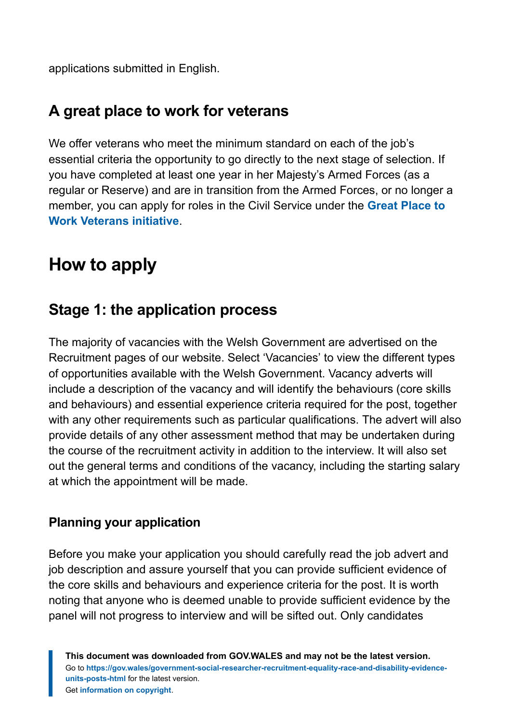applications submitted in English.

## **A great place to work for veterans**

We offer veterans who meet the minimum standard on each of the job's essential criteria the opportunity to go directly to the next stage of selection. If you have completed at least one year in her Majesty's Armed Forces (as a regular or Reserve) and are in transition from the Armed Forces, or no longer a member, you can apply for roles in the Civil Service under the **[Great Place to](https://gov.wales/making-civil-service-great-place-work-veterans) [Work Veterans initiative](https://gov.wales/making-civil-service-great-place-work-veterans)**.

## <span id="page-19-0"></span>**How to apply**

## **Stage 1: the application process**

The majority of vacancies with the Welsh Government are advertised on the Recruitment pages of our website. Select 'Vacancies' to view the different types of opportunities available with the Welsh Government. Vacancy adverts will include a description of the vacancy and will identify the behaviours (core skills and behaviours) and essential experience criteria required for the post, together with any other requirements such as particular qualifications. The advert will also provide details of any other assessment method that may be undertaken during the course of the recruitment activity in addition to the interview. It will also set out the general terms and conditions of the vacancy, including the starting salary at which the appointment will be made.

## **Planning your application**

Before you make your application you should carefully read the job advert and job description and assure yourself that you can provide sufficient evidence of the core skills and behaviours and experience criteria for the post. It is worth noting that anyone who is deemed unable to provide sufficient evidence by the panel will not progress to interview and will be sifted out. Only candidates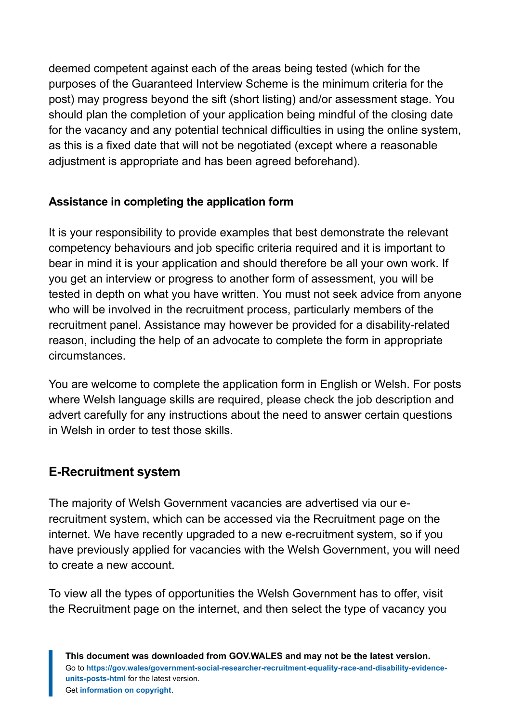deemed competent against each of the areas being tested (which for the purposes of the Guaranteed Interview Scheme is the minimum criteria for the post) may progress beyond the sift (short listing) and/or assessment stage. You should plan the completion of your application being mindful of the closing date for the vacancy and any potential technical difficulties in using the online system, as this is a fixed date that will not be negotiated (except where a reasonable adjustment is appropriate and has been agreed beforehand).

### **Assistance in completing the application form**

It is your responsibility to provide examples that best demonstrate the relevant competency behaviours and job specific criteria required and it is important to bear in mind it is your application and should therefore be all your own work. If you get an interview or progress to another form of assessment, you will be tested in depth on what you have written. You must not seek advice from anyone who will be involved in the recruitment process, particularly members of the recruitment panel. Assistance may however be provided for a disability-related reason, including the help of an advocate to complete the form in appropriate circumstances.

You are welcome to complete the application form in English or Welsh. For posts where Welsh language skills are required, please check the job description and advert carefully for any instructions about the need to answer certain questions in Welsh in order to test those skills.

## **E-Recruitment system**

The majority of Welsh Government vacancies are advertised via our erecruitment system, which can be accessed via the Recruitment page on the internet. We have recently upgraded to a new e-recruitment system, so if you have previously applied for vacancies with the Welsh Government, you will need to create a new account.

To view all the types of opportunities the Welsh Government has to offer, visit the Recruitment page on the internet, and then select the type of vacancy you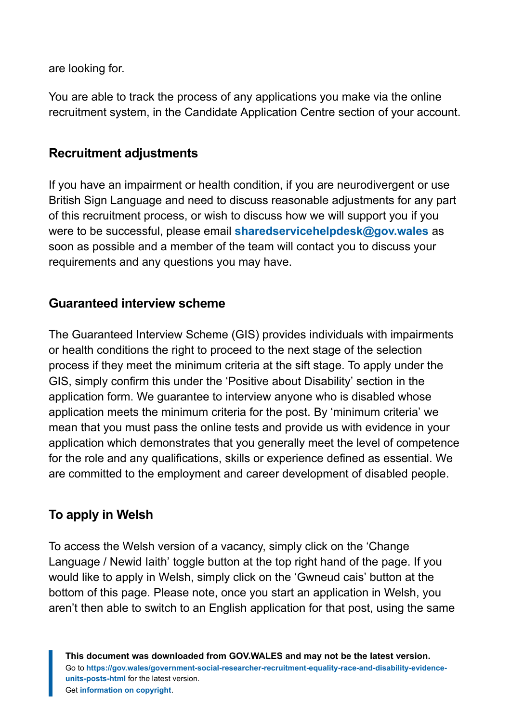are looking for.

You are able to track the process of any applications you make via the online recruitment system, in the Candidate Application Centre section of your account.

### **Recruitment adjustments**

If you have an impairment or health condition, if you are neurodivergent or use British Sign Language and need to discuss reasonable adjustments for any part of this recruitment process, or wish to discuss how we will support you if you were to be successful, please email **[sharedservicehelpdesk@gov.wales](mailto:SharedServiceHelpdesk@gov.wales)** as soon as possible and a member of the team will contact you to discuss your requirements and any questions you may have.

### **Guaranteed interview scheme**

The Guaranteed Interview Scheme (GIS) provides individuals with impairments or health conditions the right to proceed to the next stage of the selection process if they meet the minimum criteria at the sift stage. To apply under the GIS, simply confirm this under the 'Positive about Disability' section in the application form. We guarantee to interview anyone who is disabled whose application meets the minimum criteria for the post. By 'minimum criteria' we mean that you must pass the online tests and provide us with evidence in your application which demonstrates that you generally meet the level of competence for the role and any qualifications, skills or experience defined as essential. We are committed to the employment and career development of disabled people.

## **To apply in Welsh**

To access the Welsh version of a vacancy, simply click on the 'Change Language / Newid Iaith' toggle button at the top right hand of the page. If you would like to apply in Welsh, simply click on the 'Gwneud cais' button at the bottom of this page. Please note, once you start an application in Welsh, you aren't then able to switch to an English application for that post, using the same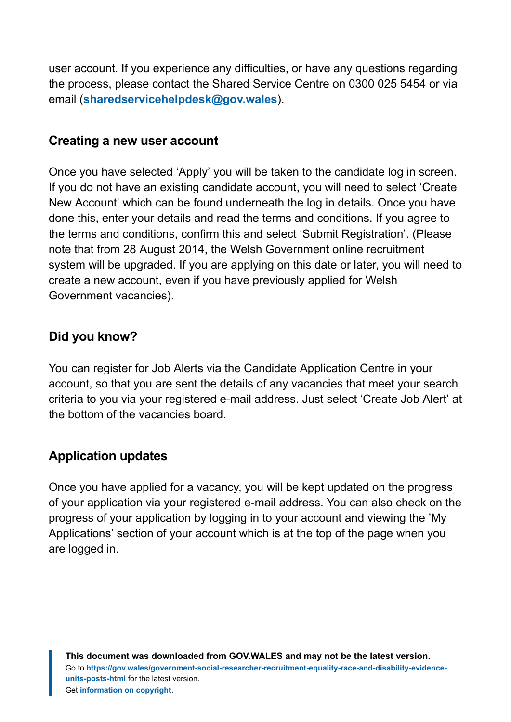user account. If you experience any difficulties, or have any questions regarding the process, please contact the Shared Service Centre on 0300 025 5454 or via email (**[sharedservicehelpdesk@gov.wales](mailto:SharedServiceHelpdesk@gov.wales)**).

### **Creating a new user account**

Once you have selected 'Apply' you will be taken to the candidate log in screen. If you do not have an existing candidate account, you will need to select 'Create New Account' which can be found underneath the log in details. Once you have done this, enter your details and read the terms and conditions. If you agree to the terms and conditions, confirm this and select 'Submit Registration'. (Please note that from 28 August 2014, the Welsh Government online recruitment system will be upgraded. If you are applying on this date or later, you will need to create a new account, even if you have previously applied for Welsh Government vacancies).

### **Did you know?**

You can register for Job Alerts via the Candidate Application Centre in your account, so that you are sent the details of any vacancies that meet your search criteria to you via your registered e-mail address. Just select 'Create Job Alert' at the bottom of the vacancies board.

## **Application updates**

Once you have applied for a vacancy, you will be kept updated on the progress of your application via your registered e-mail address. You can also check on the progress of your application by logging in to your account and viewing the 'My Applications' section of your account which is at the top of the page when you are logged in.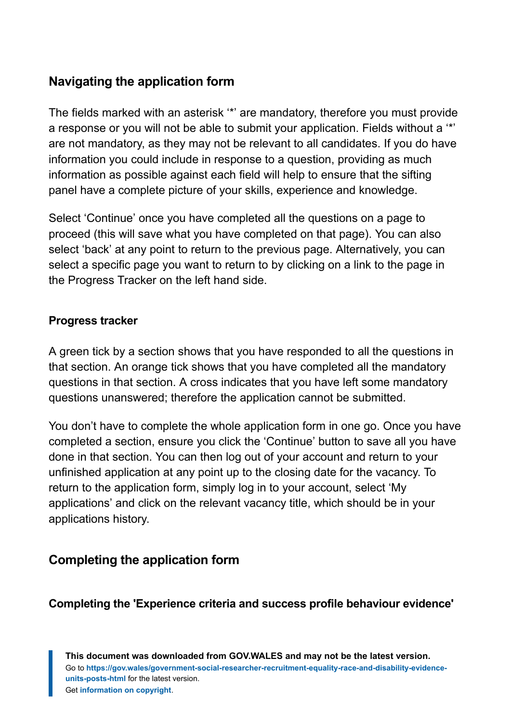## **Navigating the application form**

The fields marked with an asterisk '\*' are mandatory, therefore you must provide a response or you will not be able to submit your application. Fields without a '\*' are not mandatory, as they may not be relevant to all candidates. If you do have information you could include in response to a question, providing as much information as possible against each field will help to ensure that the sifting panel have a complete picture of your skills, experience and knowledge.

Select 'Continue' once you have completed all the questions on a page to proceed (this will save what you have completed on that page). You can also select 'back' at any point to return to the previous page. Alternatively, you can select a specific page you want to return to by clicking on a link to the page in the Progress Tracker on the left hand side.

### **Progress tracker**

A green tick by a section shows that you have responded to all the questions in that section. An orange tick shows that you have completed all the mandatory questions in that section. A cross indicates that you have left some mandatory questions unanswered; therefore the application cannot be submitted.

You don't have to complete the whole application form in one go. Once you have completed a section, ensure you click the 'Continue' button to save all you have done in that section. You can then log out of your account and return to your unfinished application at any point up to the closing date for the vacancy. To return to the application form, simply log in to your account, select 'My applications' and click on the relevant vacancy title, which should be in your applications history.

## **Completing the application form**

### **Completing the 'Experience criteria and success profile behaviour evidence'**

**This document was downloaded from GOV.WALES and may not be the latest version.** Go to **[https://gov.wales/government-social-researcher-recruitment-equality-race-and-disability-evidence](https://gov.wales/government-social-researcher-recruitment-equality-race-and-disability-evidence-units-posts-html)[units-posts-html](https://gov.wales/government-social-researcher-recruitment-equality-race-and-disability-evidence-units-posts-html)** for the latest version. Get **[information on copyright](https://gov.wales/copyright-statement)**.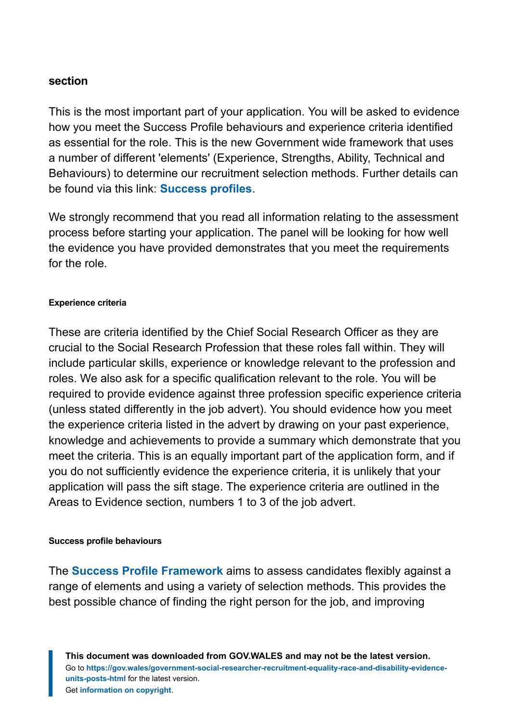#### **section**

This is the most important part of your application. You will be asked to evidence how you meet the Success Profile behaviours and experience criteria identified as essential for the role. This is the new Government wide framework that uses a number of different 'elements' (Experience, Strengths, Ability, Technical and Behaviours) to determine our recruitment selection methods. Further details can be found via this link: **[Success profiles](https://www.gov.uk/government/publications/success-profiles#history)**.

We strongly recommend that you read all information relating to the assessment process before starting your application. The panel will be looking for how well the evidence you have provided demonstrates that you meet the requirements for the role.

#### **Experience criteria**

These are criteria identified by the Chief Social Research Officer as they are crucial to the Social Research Profession that these roles fall within. They will include particular skills, experience or knowledge relevant to the profession and roles. We also ask for a specific qualification relevant to the role. You will be required to provide evidence against three profession specific experience criteria (unless stated differently in the job advert). You should evidence how you meet the experience criteria listed in the advert by drawing on your past experience, knowledge and achievements to provide a summary which demonstrate that you meet the criteria. This is an equally important part of the application form, and if you do not sufficiently evidence the experience criteria, it is unlikely that your application will pass the sift stage. The experience criteria are outlined in the Areas to Evidence section, numbers 1 to 3 of the job advert.

#### **Success profile behaviours**

The **[Success Profile Framework](https://assets.publishing.service.gov.uk/government/uploads/system/uploads/attachment_data/file/717275/CS_Behaviours_2018.pdf)** aims to assess candidates flexibly against a range of elements and using a variety of selection methods. This provides the best possible chance of finding the right person for the job, and improving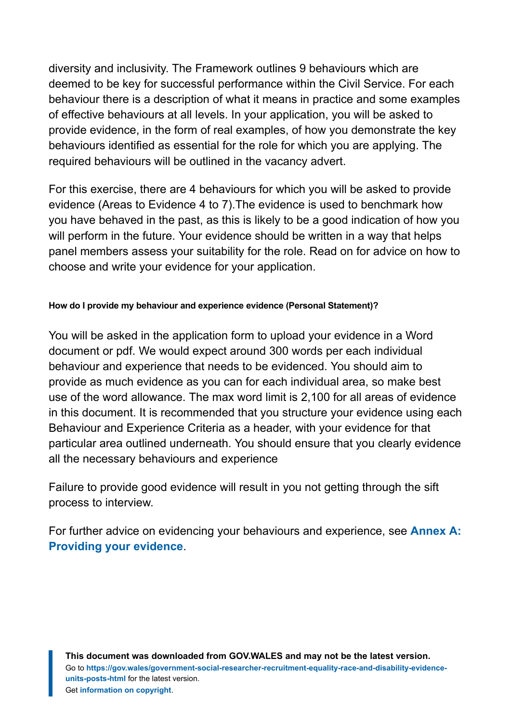diversity and inclusivity. The Framework outlines 9 behaviours which are deemed to be key for successful performance within the Civil Service. For each behaviour there is a description of what it means in practice and some examples of effective behaviours at all levels. In your application, you will be asked to provide evidence, in the form of real examples, of how you demonstrate the key behaviours identified as essential for the role for which you are applying. The required behaviours will be outlined in the vacancy advert.

For this exercise, there are 4 behaviours for which you will be asked to provide evidence (Areas to Evidence 4 to 7).The evidence is used to benchmark how you have behaved in the past, as this is likely to be a good indication of how you will perform in the future. Your evidence should be written in a way that helps panel members assess your suitability for the role. Read on for advice on how to choose and write your evidence for your application.

#### **How do I provide my behaviour and experience evidence (Personal Statement)?**

You will be asked in the application form to upload your evidence in a Word document or pdf. We would expect around 300 words per each individual behaviour and experience that needs to be evidenced. You should aim to provide as much evidence as you can for each individual area, so make best use of the word allowance. The max word limit is 2,100 for all areas of evidence in this document. It is recommended that you structure your evidence using each Behaviour and Experience Criteria as a header, with your evidence for that particular area outlined underneath. You should ensure that you clearly evidence all the necessary behaviours and experience

Failure to provide good evidence will result in you not getting through the sift process to interview.

For further advice on evidencing your behaviours and experience, see **[Annex A:](#page-37-0) [Providing your evidence](#page-37-0)**.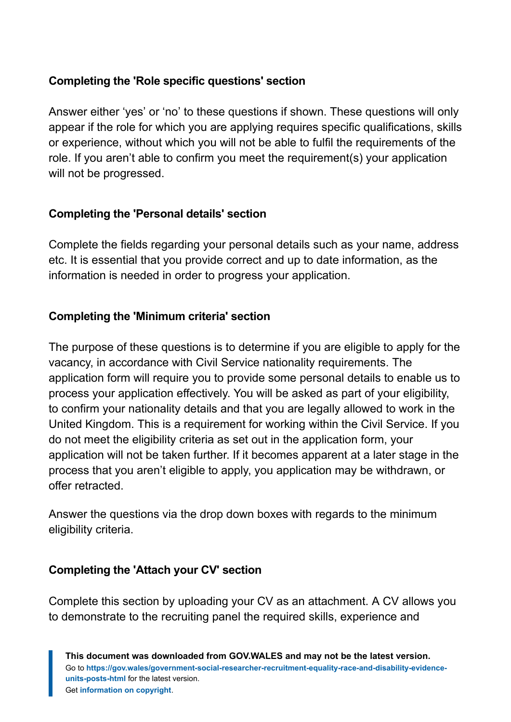### **Completing the 'Role specific questions' section**

Answer either 'yes' or 'no' to these questions if shown. These questions will only appear if the role for which you are applying requires specific qualifications, skills or experience, without which you will not be able to fulfil the requirements of the role. If you aren't able to confirm you meet the requirement(s) your application will not be progressed.

### **Completing the 'Personal details' section**

Complete the fields regarding your personal details such as your name, address etc. It is essential that you provide correct and up to date information, as the information is needed in order to progress your application.

### **Completing the 'Minimum criteria' section**

The purpose of these questions is to determine if you are eligible to apply for the vacancy, in accordance with Civil Service nationality requirements. The application form will require you to provide some personal details to enable us to process your application effectively. You will be asked as part of your eligibility, to confirm your nationality details and that you are legally allowed to work in the United Kingdom. This is a requirement for working within the Civil Service. If you do not meet the eligibility criteria as set out in the application form, your application will not be taken further. If it becomes apparent at a later stage in the process that you aren't eligible to apply, you application may be withdrawn, or offer retracted.

Answer the questions via the drop down boxes with regards to the minimum eligibility criteria.

### **Completing the 'Attach your CV' section**

Complete this section by uploading your CV as an attachment. A CV allows you to demonstrate to the recruiting panel the required skills, experience and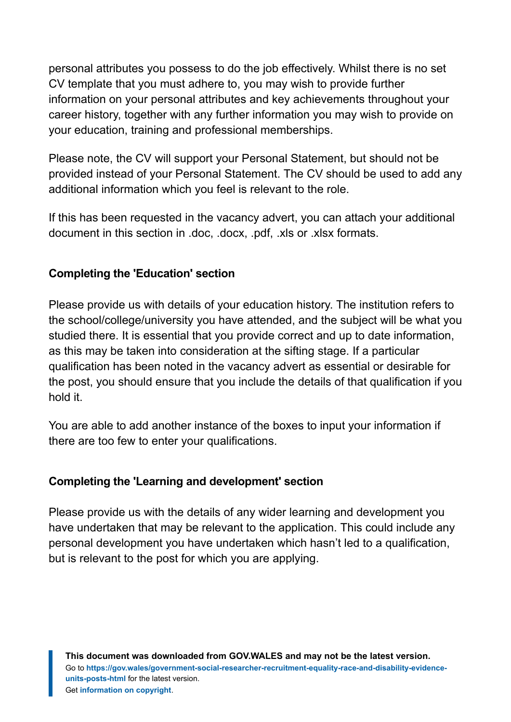personal attributes you possess to do the job effectively. Whilst there is no set CV template that you must adhere to, you may wish to provide further information on your personal attributes and key achievements throughout your career history, together with any further information you may wish to provide on your education, training and professional memberships.

Please note, the CV will support your Personal Statement, but should not be provided instead of your Personal Statement. The CV should be used to add any additional information which you feel is relevant to the role.

If this has been requested in the vacancy advert, you can attach your additional document in this section in .doc, .docx, .pdf, .xls or .xlsx formats.

### **Completing the 'Education' section**

Please provide us with details of your education history. The institution refers to the school/college/university you have attended, and the subject will be what you studied there. It is essential that you provide correct and up to date information, as this may be taken into consideration at the sifting stage. If a particular qualification has been noted in the vacancy advert as essential or desirable for the post, you should ensure that you include the details of that qualification if you hold it.

You are able to add another instance of the boxes to input your information if there are too few to enter your qualifications.

### **Completing the 'Learning and development' section**

Please provide us with the details of any wider learning and development you have undertaken that may be relevant to the application. This could include any personal development you have undertaken which hasn't led to a qualification, but is relevant to the post for which you are applying.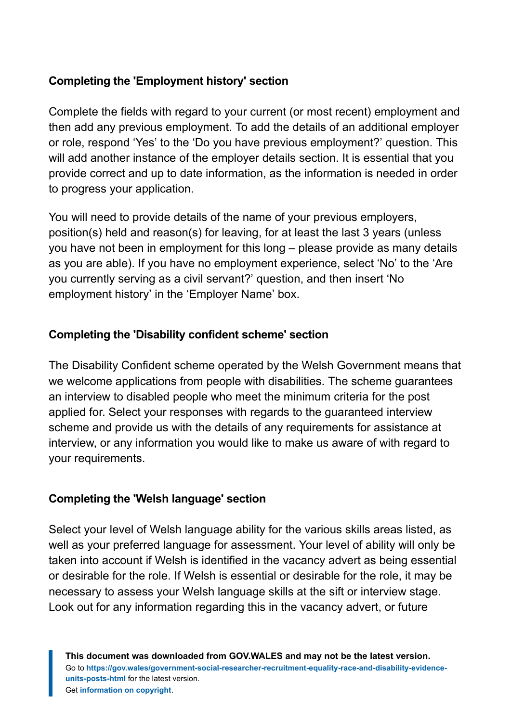### **Completing the 'Employment history' section**

Complete the fields with regard to your current (or most recent) employment and then add any previous employment. To add the details of an additional employer or role, respond 'Yes' to the 'Do you have previous employment?' question. This will add another instance of the employer details section. It is essential that you provide correct and up to date information, as the information is needed in order to progress your application.

You will need to provide details of the name of your previous employers, position(s) held and reason(s) for leaving, for at least the last 3 years (unless you have not been in employment for this long – please provide as many details as you are able). If you have no employment experience, select 'No' to the 'Are you currently serving as a civil servant?' question, and then insert 'No employment history' in the 'Employer Name' box.

### **Completing the 'Disability confident scheme' section**

The Disability Confident scheme operated by the Welsh Government means that we welcome applications from people with disabilities. The scheme guarantees an interview to disabled people who meet the minimum criteria for the post applied for. Select your responses with regards to the guaranteed interview scheme and provide us with the details of any requirements for assistance at interview, or any information you would like to make us aware of with regard to your requirements.

#### **Completing the 'Welsh language' section**

Select your level of Welsh language ability for the various skills areas listed, as well as your preferred language for assessment. Your level of ability will only be taken into account if Welsh is identified in the vacancy advert as being essential or desirable for the role. If Welsh is essential or desirable for the role, it may be necessary to assess your Welsh language skills at the sift or interview stage. Look out for any information regarding this in the vacancy advert, or future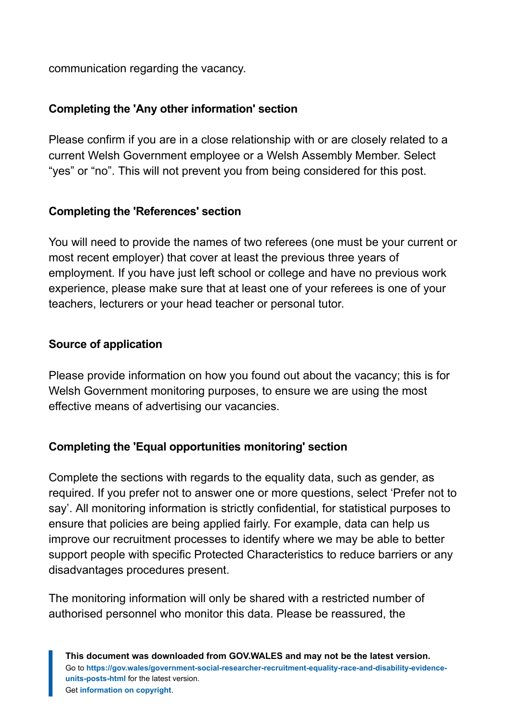communication regarding the vacancy.

### **Completing the 'Any other information' section**

Please confirm if you are in a close relationship with or are closely related to a current Welsh Government employee or a Welsh Assembly Member. Select "yes" or "no". This will not prevent you from being considered for this post.

### **Completing the 'References' section**

You will need to provide the names of two referees (one must be your current or most recent employer) that cover at least the previous three years of employment. If you have just left school or college and have no previous work experience, please make sure that at least one of your referees is one of your teachers, lecturers or your head teacher or personal tutor.

### **Source of application**

Please provide information on how you found out about the vacancy; this is for Welsh Government monitoring purposes, to ensure we are using the most effective means of advertising our vacancies.

### **Completing the 'Equal opportunities monitoring' section**

Complete the sections with regards to the equality data, such as gender, as required. If you prefer not to answer one or more questions, select 'Prefer not to say'. All monitoring information is strictly confidential, for statistical purposes to ensure that policies are being applied fairly. For example, data can help us improve our recruitment processes to identify where we may be able to better support people with specific Protected Characteristics to reduce barriers or any disadvantages procedures present.

The monitoring information will only be shared with a restricted number of authorised personnel who monitor this data. Please be reassured, the

**This document was downloaded from GOV.WALES and may not be the latest version.** Go to **[https://gov.wales/government-social-researcher-recruitment-equality-race-and-disability-evidence](https://gov.wales/government-social-researcher-recruitment-equality-race-and-disability-evidence-units-posts-html)[units-posts-html](https://gov.wales/government-social-researcher-recruitment-equality-race-and-disability-evidence-units-posts-html)** for the latest version. Get **[information on copyright](https://gov.wales/copyright-statement)**.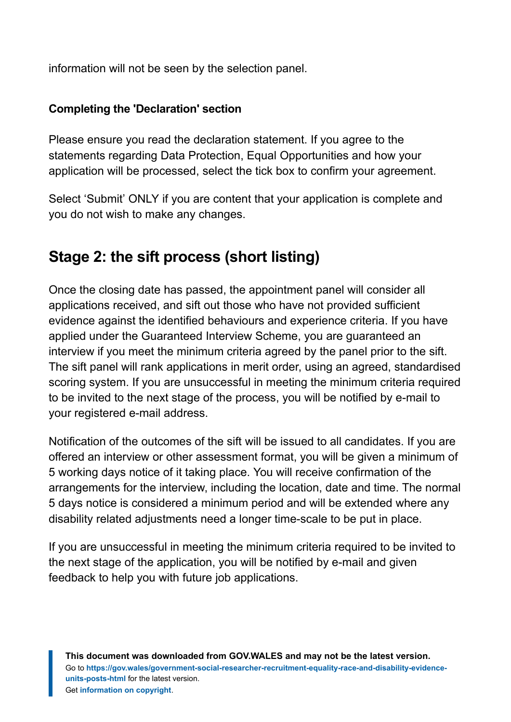information will not be seen by the selection panel.

### **Completing the 'Declaration' section**

Please ensure you read the declaration statement. If you agree to the statements regarding Data Protection, Equal Opportunities and how your application will be processed, select the tick box to confirm your agreement.

Select 'Submit' ONLY if you are content that your application is complete and you do not wish to make any changes.

## **Stage 2: the sift process (short listing)**

Once the closing date has passed, the appointment panel will consider all applications received, and sift out those who have not provided sufficient evidence against the identified behaviours and experience criteria. If you have applied under the Guaranteed Interview Scheme, you are guaranteed an interview if you meet the minimum criteria agreed by the panel prior to the sift. The sift panel will rank applications in merit order, using an agreed, standardised scoring system. If you are unsuccessful in meeting the minimum criteria required to be invited to the next stage of the process, you will be notified by e-mail to your registered e-mail address.

Notification of the outcomes of the sift will be issued to all candidates. If you are offered an interview or other assessment format, you will be given a minimum of 5 working days notice of it taking place. You will receive confirmation of the arrangements for the interview, including the location, date and time. The normal 5 days notice is considered a minimum period and will be extended where any disability related adjustments need a longer time-scale to be put in place.

If you are unsuccessful in meeting the minimum criteria required to be invited to the next stage of the application, you will be notified by e-mail and given feedback to help you with future job applications.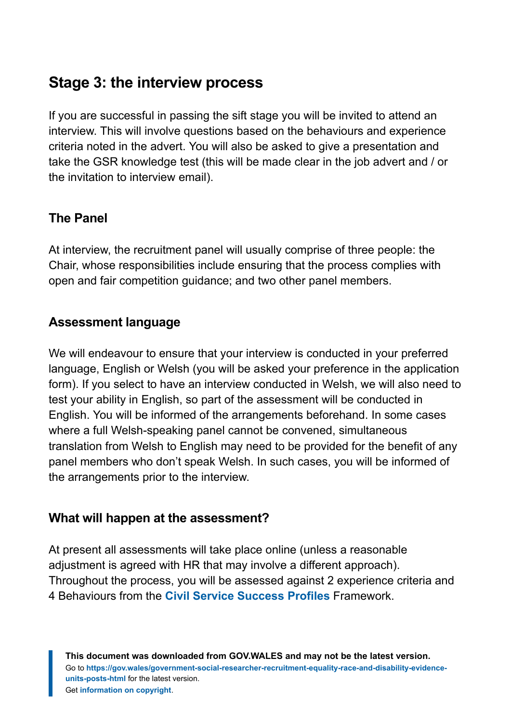## **Stage 3: the interview process**

If you are successful in passing the sift stage you will be invited to attend an interview. This will involve questions based on the behaviours and experience criteria noted in the advert. You will also be asked to give a presentation and take the GSR knowledge test (this will be made clear in the job advert and / or the invitation to interview email).

## **The Panel**

At interview, the recruitment panel will usually comprise of three people: the Chair, whose responsibilities include ensuring that the process complies with open and fair competition guidance; and two other panel members.

### **Assessment language**

We will endeavour to ensure that your interview is conducted in your preferred language, English or Welsh (you will be asked your preference in the application form). If you select to have an interview conducted in Welsh, we will also need to test your ability in English, so part of the assessment will be conducted in English. You will be informed of the arrangements beforehand. In some cases where a full Welsh-speaking panel cannot be convened, simultaneous translation from Welsh to English may need to be provided for the benefit of any panel members who don't speak Welsh. In such cases, you will be informed of the arrangements prior to the interview.

### **What will happen at the assessment?**

At present all assessments will take place online (unless a reasonable adjustment is agreed with HR that may involve a different approach). Throughout the process, you will be assessed against 2 experience criteria and 4 Behaviours from the **[Civil Service Success Profiles](https://assets.publishing.service.gov.uk/government/uploads/system/uploads/attachment_data/file/717275/CS_Behaviours_2018.pdf)** Framework.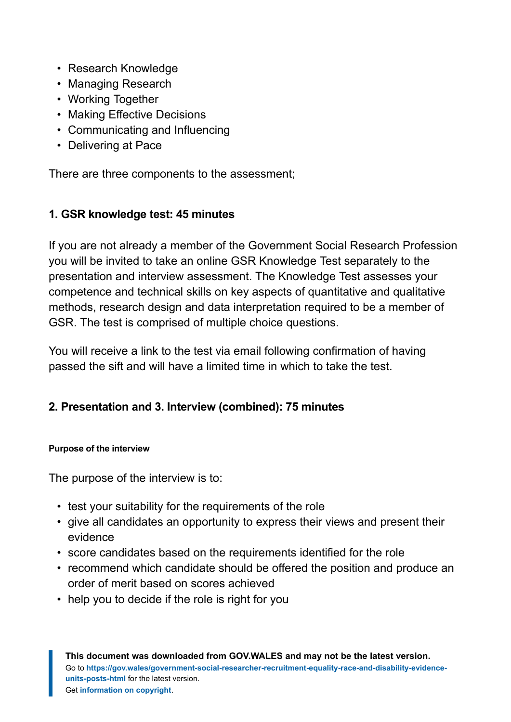- Research Knowledge
- Managing Research
- Working Together
- Making Effective Decisions
- Communicating and Influencing
- Delivering at Pace

There are three components to the assessment;

### **1. GSR knowledge test: 45 minutes**

If you are not already a member of the Government Social Research Profession you will be invited to take an online GSR Knowledge Test separately to the presentation and interview assessment. The Knowledge Test assesses your competence and technical skills on key aspects of quantitative and qualitative methods, research design and data interpretation required to be a member of GSR. The test is comprised of multiple choice questions.

You will receive a link to the test via email following confirmation of having passed the sift and will have a limited time in which to take the test.

### **2. Presentation and 3. Interview (combined): 75 minutes**

#### **Purpose of the interview**

The purpose of the interview is to:

- test your suitability for the requirements of the role
- give all candidates an opportunity to express their views and present their evidence
- score candidates based on the requirements identified for the role
- recommend which candidate should be offered the position and produce an order of merit based on scores achieved
- help you to decide if the role is right for you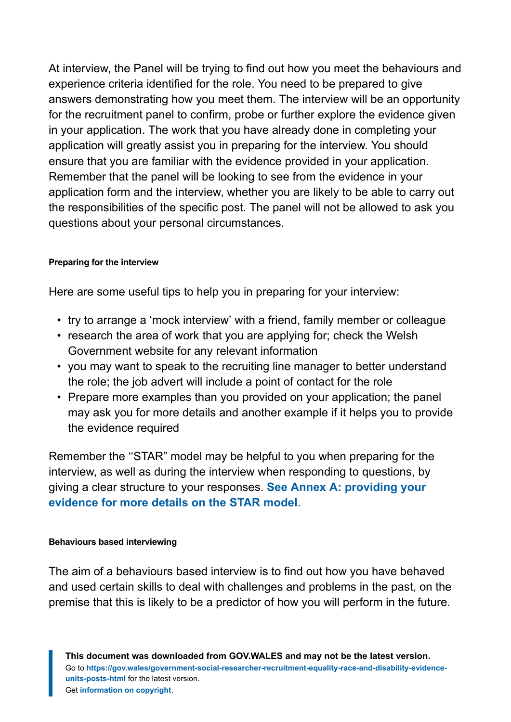At interview, the Panel will be trying to find out how you meet the behaviours and experience criteria identified for the role. You need to be prepared to give answers demonstrating how you meet them. The interview will be an opportunity for the recruitment panel to confirm, probe or further explore the evidence given in your application. The work that you have already done in completing your application will greatly assist you in preparing for the interview. You should ensure that you are familiar with the evidence provided in your application. Remember that the panel will be looking to see from the evidence in your application form and the interview, whether you are likely to be able to carry out the responsibilities of the specific post. The panel will not be allowed to ask you questions about your personal circumstances.

#### **Preparing for the interview**

Here are some useful tips to help you in preparing for your interview:

- try to arrange a 'mock interview' with a friend, family member or colleague
- research the area of work that you are applying for; check the Welsh Government website for any relevant information
- you may want to speak to the recruiting line manager to better understand the role; the job advert will include a point of contact for the role
- Prepare more examples than you provided on your application; the panel may ask you for more details and another example if it helps you to provide the evidence required

Remember the ''STAR" model may be helpful to you when preparing for the interview, as well as during the interview when responding to questions, by giving a clear structure to your responses. **[See Annex A: providing your](#page-37-0) [evidence for more details on the STAR model](#page-37-0)**.

#### **Behaviours based interviewing**

The aim of a behaviours based interview is to find out how you have behaved and used certain skills to deal with challenges and problems in the past, on the premise that this is likely to be a predictor of how you will perform in the future.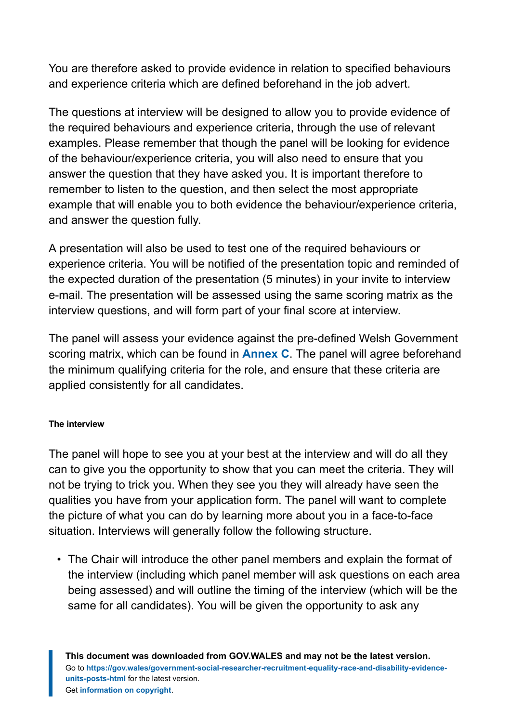You are therefore asked to provide evidence in relation to specified behaviours and experience criteria which are defined beforehand in the job advert.

The questions at interview will be designed to allow you to provide evidence of the required behaviours and experience criteria, through the use of relevant examples. Please remember that though the panel will be looking for evidence of the behaviour/experience criteria, you will also need to ensure that you answer the question that they have asked you. It is important therefore to remember to listen to the question, and then select the most appropriate example that will enable you to both evidence the behaviour/experience criteria, and answer the question fully.

A presentation will also be used to test one of the required behaviours or experience criteria. You will be notified of the presentation topic and reminded of the expected duration of the presentation (5 minutes) in your invite to interview e-mail. The presentation will be assessed using the same scoring matrix as the interview questions, and will form part of your final score at interview.

The panel will assess your evidence against the pre-defined Welsh Government scoring matrix, which can be found in **[Annex C](#page-41-0)**. The panel will agree beforehand the minimum qualifying criteria for the role, and ensure that these criteria are applied consistently for all candidates.

#### **The interview**

The panel will hope to see you at your best at the interview and will do all they can to give you the opportunity to show that you can meet the criteria. They will not be trying to trick you. When they see you they will already have seen the qualities you have from your application form. The panel will want to complete the picture of what you can do by learning more about you in a face-to-face situation. Interviews will generally follow the following structure.

• The Chair will introduce the other panel members and explain the format of the interview (including which panel member will ask questions on each area being assessed) and will outline the timing of the interview (which will be the same for all candidates). You will be given the opportunity to ask any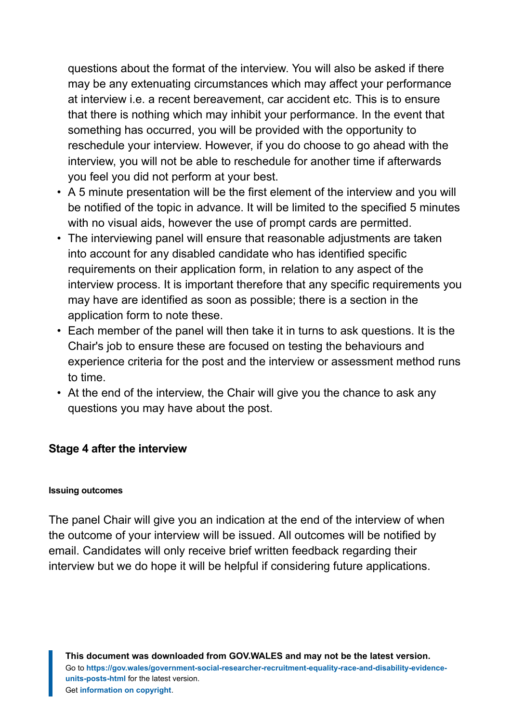questions about the format of the interview. You will also be asked if there may be any extenuating circumstances which may affect your performance at interview i.e. a recent bereavement, car accident etc. This is to ensure that there is nothing which may inhibit your performance. In the event that something has occurred, you will be provided with the opportunity to reschedule your interview. However, if you do choose to go ahead with the interview, you will not be able to reschedule for another time if afterwards you feel you did not perform at your best.

- A 5 minute presentation will be the first element of the interview and you will be notified of the topic in advance. It will be limited to the specified 5 minutes with no visual aids, however the use of prompt cards are permitted.
- The interviewing panel will ensure that reasonable adjustments are taken into account for any disabled candidate who has identified specific requirements on their application form, in relation to any aspect of the interview process. It is important therefore that any specific requirements you may have are identified as soon as possible; there is a section in the application form to note these.
- Each member of the panel will then take it in turns to ask questions. It is the Chair's job to ensure these are focused on testing the behaviours and experience criteria for the post and the interview or assessment method runs to time.
- At the end of the interview, the Chair will give you the chance to ask any questions you may have about the post.

#### **Stage 4 after the interview**

#### **Issuing outcomes**

The panel Chair will give you an indication at the end of the interview of when the outcome of your interview will be issued. All outcomes will be notified by email. Candidates will only receive brief written feedback regarding their interview but we do hope it will be helpful if considering future applications.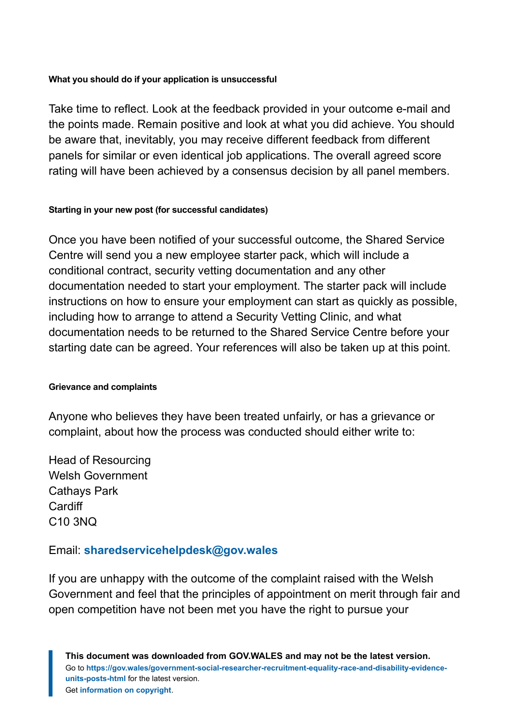#### **What you should do if your application is unsuccessful**

Take time to reflect. Look at the feedback provided in your outcome e-mail and the points made. Remain positive and look at what you did achieve. You should be aware that, inevitably, you may receive different feedback from different panels for similar or even identical job applications. The overall agreed score rating will have been achieved by a consensus decision by all panel members.

#### **Starting in your new post (for successful candidates)**

Once you have been notified of your successful outcome, the Shared Service Centre will send you a new employee starter pack, which will include a conditional contract, security vetting documentation and any other documentation needed to start your employment. The starter pack will include instructions on how to ensure your employment can start as quickly as possible, including how to arrange to attend a Security Vetting Clinic, and what documentation needs to be returned to the Shared Service Centre before your starting date can be agreed. Your references will also be taken up at this point.

#### **Grievance and complaints**

Anyone who believes they have been treated unfairly, or has a grievance or complaint, about how the process was conducted should either write to:

Head of Resourcing Welsh Government Cathays Park **Cardiff** C10 3NQ

#### Email: **[sharedservicehelpdesk@gov.wales](mailto:SharedServiceHelpdesk@gov.wales)**

If you are unhappy with the outcome of the complaint raised with the Welsh Government and feel that the principles of appointment on merit through fair and open competition have not been met you have the right to pursue your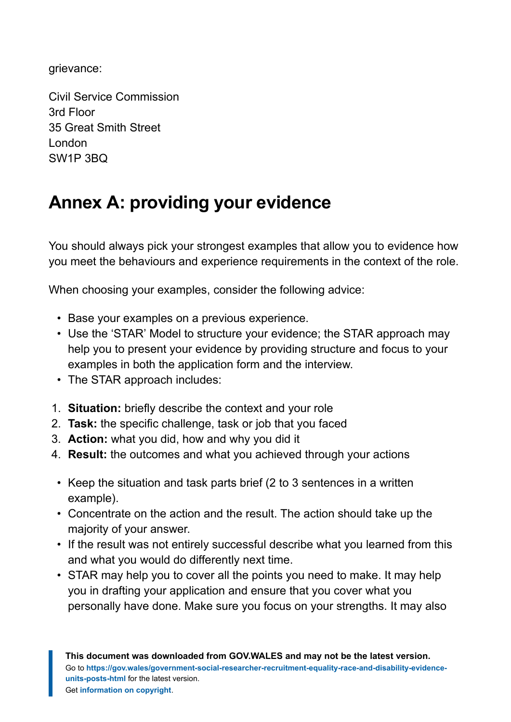grievance:

Civil Service Commission 3rd Floor 35 Great Smith Street London SW1P 3BQ

## <span id="page-37-0"></span>**Annex A: providing your evidence**

You should always pick your strongest examples that allow you to evidence how you meet the behaviours and experience requirements in the context of the role.

When choosing your examples, consider the following advice:

- Base your examples on a previous experience.
- Use the 'STAR' Model to structure your evidence; the STAR approach may help you to present your evidence by providing structure and focus to your examples in both the application form and the interview.
- The STAR approach includes:
- 1. **Situation:** briefly describe the context and your role
- 2. **Task:** the specific challenge, task or job that you faced
- 3. **Action:** what you did, how and why you did it
- 4. **Result:** the outcomes and what you achieved through your actions
- Keep the situation and task parts brief (2 to 3 sentences in a written example).
- Concentrate on the action and the result. The action should take up the majority of your answer.
- If the result was not entirely successful describe what you learned from this and what you would do differently next time.
- STAR may help you to cover all the points you need to make. It may help you in drafting your application and ensure that you cover what you personally have done. Make sure you focus on your strengths. It may also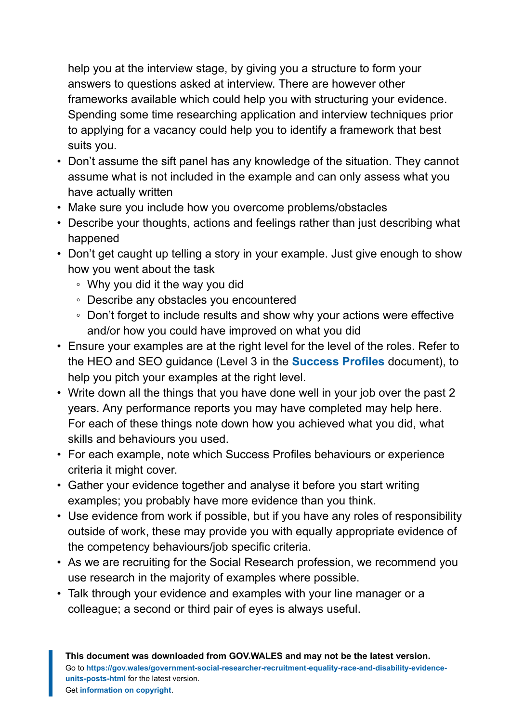help you at the interview stage, by giving you a structure to form your answers to questions asked at interview. There are however other frameworks available which could help you with structuring your evidence. Spending some time researching application and interview techniques prior to applying for a vacancy could help you to identify a framework that best suits you.

- Don't assume the sift panel has any knowledge of the situation. They cannot assume what is not included in the example and can only assess what you have actually written
- Make sure you include how you overcome problems/obstacles
- Describe your thoughts, actions and feelings rather than just describing what happened
- Don't get caught up telling a story in your example. Just give enough to show how you went about the task
	- Why you did it the way you did
	- Describe any obstacles you encountered
	- Don't forget to include results and show why your actions were effective and/or how you could have improved on what you did
- Ensure your examples are at the right level for the level of the roles. Refer to the HEO and SEO guidance (Level 3 in the **[Success Profiles](https://assets.publishing.service.gov.uk/government/uploads/system/uploads/attachment_data/file/717275/CS_Behaviours_2018.pdf)** document), to help you pitch your examples at the right level.
- Write down all the things that you have done well in your job over the past 2 years. Any performance reports you may have completed may help here. For each of these things note down how you achieved what you did, what skills and behaviours you used.
- For each example, note which Success Profiles behaviours or experience criteria it might cover.
- Gather your evidence together and analyse it before you start writing examples; you probably have more evidence than you think.
- Use evidence from work if possible, but if you have any roles of responsibility outside of work, these may provide you with equally appropriate evidence of the competency behaviours/job specific criteria.
- As we are recruiting for the Social Research profession, we recommend you use research in the majority of examples where possible.
- Talk through your evidence and examples with your line manager or a colleague; a second or third pair of eyes is always useful.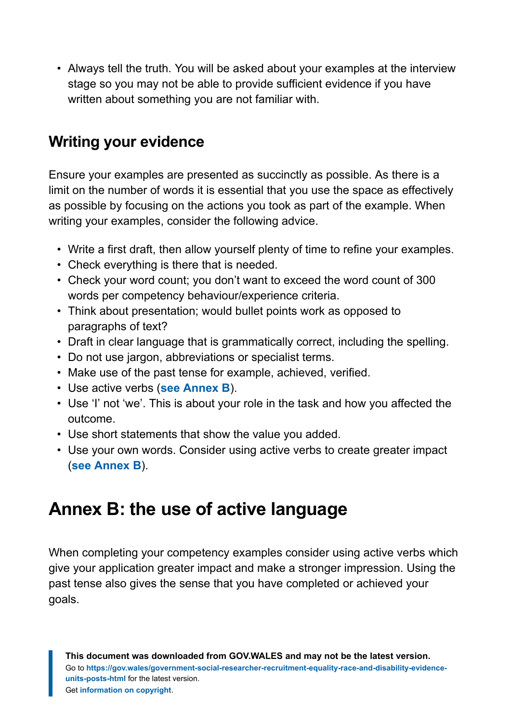• Always tell the truth. You will be asked about your examples at the interview stage so you may not be able to provide sufficient evidence if you have written about something you are not familiar with.

## **Writing your evidence**

Ensure your examples are presented as succinctly as possible. As there is a limit on the number of words it is essential that you use the space as effectively as possible by focusing on the actions you took as part of the example. When writing your examples, consider the following advice.

- Write a first draft, then allow yourself plenty of time to refine your examples.
- Check everything is there that is needed.
- Check your word count; you don't want to exceed the word count of 300 words per competency behaviour/experience criteria.
- Think about presentation; would bullet points work as opposed to paragraphs of text?
- Draft in clear language that is grammatically correct, including the spelling.
- Do not use jargon, abbreviations or specialist terms.
- Make use of the past tense for example, achieved, verified.
- Use active verbs (**[see Annex B](#page-39-0)**).
- Use 'I' not 'we'. This is about your role in the task and how you affected the outcome.
- Use short statements that show the value you added.
- Use your own words. Consider using active verbs to create greater impact (**[see Annex B](#page-39-0)**).

## <span id="page-39-0"></span>**Annex B: the use of active language**

When completing your competency examples consider using active verbs which give your application greater impact and make a stronger impression. Using the past tense also gives the sense that you have completed or achieved your goals.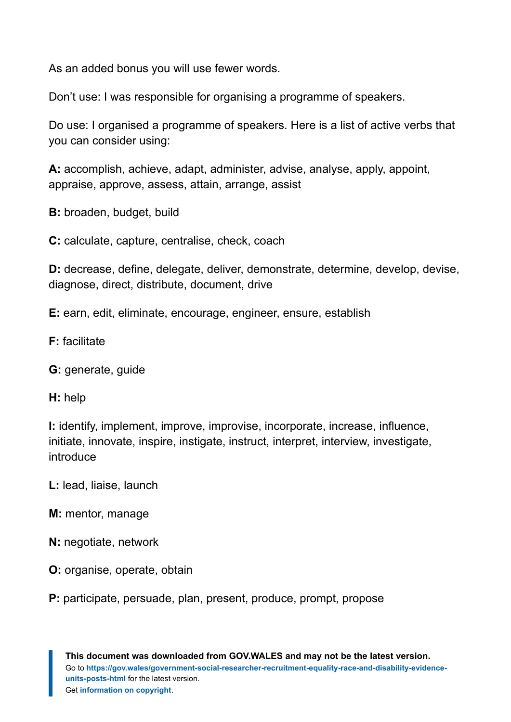As an added bonus you will use fewer words.

Don't use: I was responsible for organising a programme of speakers.

Do use: I organised a programme of speakers. Here is a list of active verbs that you can consider using:

**A:** accomplish, achieve, adapt, administer, advise, analyse, apply, appoint, appraise, approve, assess, attain, arrange, assist

**B:** broaden, budget, build

**C:** calculate, capture, centralise, check, coach

**D:** decrease, define, delegate, deliver, demonstrate, determine, develop, devise, diagnose, direct, distribute, document, drive

**E:** earn, edit, eliminate, encourage, engineer, ensure, establish

- **F:** facilitate
- **G:** generate, guide
- **H:** help

**I:** identify, implement, improve, improvise, incorporate, increase, influence, initiate, innovate, inspire, instigate, instruct, interpret, interview, investigate, introduce

- **L:** lead, liaise, launch
- **M:** mentor, manage
- **N:** negotiate, network
- **O:** organise, operate, obtain
- **P:** participate, persuade, plan, present, produce, prompt, propose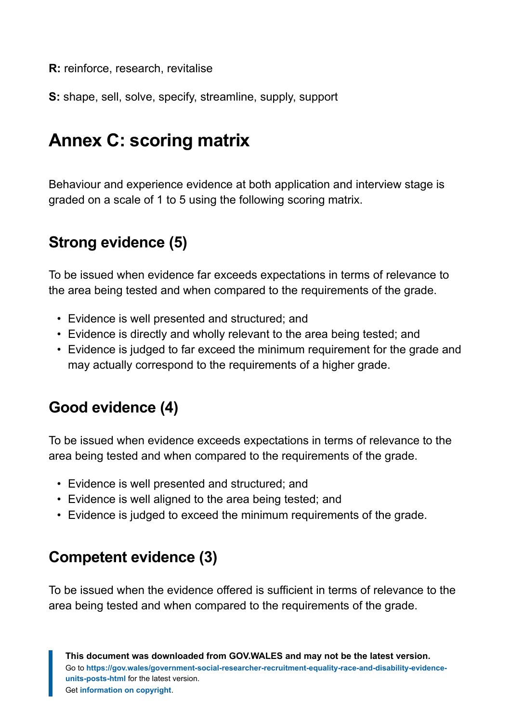**R:** reinforce, research, revitalise

**S:** shape, sell, solve, specify, streamline, supply, support

## <span id="page-41-0"></span>**Annex C: scoring matrix**

Behaviour and experience evidence at both application and interview stage is graded on a scale of 1 to 5 using the following scoring matrix.

## **Strong evidence (5)**

To be issued when evidence far exceeds expectations in terms of relevance to the area being tested and when compared to the requirements of the grade.

- Evidence is well presented and structured; and
- Evidence is directly and wholly relevant to the area being tested; and
- Evidence is judged to far exceed the minimum requirement for the grade and may actually correspond to the requirements of a higher grade.

## **Good evidence (4)**

To be issued when evidence exceeds expectations in terms of relevance to the area being tested and when compared to the requirements of the grade.

- Evidence is well presented and structured; and
- Evidence is well aligned to the area being tested; and
- Evidence is judged to exceed the minimum requirements of the grade.

## **Competent evidence (3)**

To be issued when the evidence offered is sufficient in terms of relevance to the area being tested and when compared to the requirements of the grade.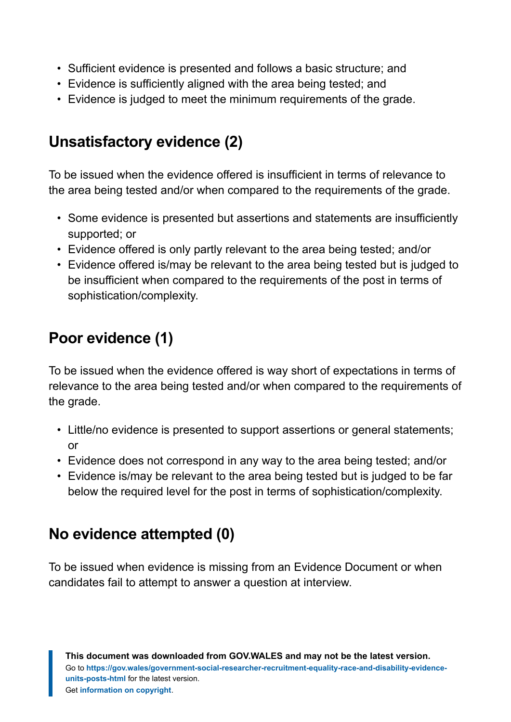- Sufficient evidence is presented and follows a basic structure; and
- Evidence is sufficiently aligned with the area being tested; and
- Evidence is judged to meet the minimum requirements of the grade.

## **Unsatisfactory evidence (2)**

To be issued when the evidence offered is insufficient in terms of relevance to the area being tested and/or when compared to the requirements of the grade.

- Some evidence is presented but assertions and statements are insufficiently supported; or
- Evidence offered is only partly relevant to the area being tested; and/or
- Evidence offered is/may be relevant to the area being tested but is judged to be insufficient when compared to the requirements of the post in terms of sophistication/complexity.

## **Poor evidence (1)**

To be issued when the evidence offered is way short of expectations in terms of relevance to the area being tested and/or when compared to the requirements of the grade.

- Little/no evidence is presented to support assertions or general statements; or
- Evidence does not correspond in any way to the area being tested; and/or
- Evidence is/may be relevant to the area being tested but is judged to be far below the required level for the post in terms of sophistication/complexity.

## **No evidence attempted (0)**

To be issued when evidence is missing from an Evidence Document or when candidates fail to attempt to answer a question at interview.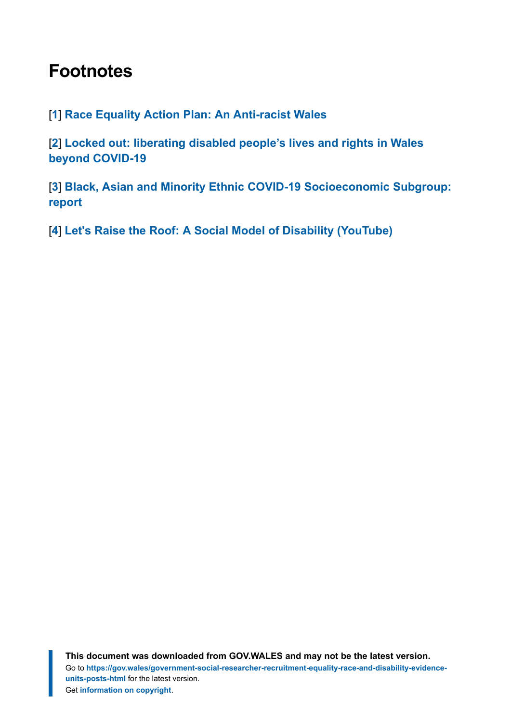## <span id="page-43-0"></span>**Footnotes**

### <span id="page-43-1"></span>[**[1](#page-9-1)**] **[Race Equality Action Plan: An Anti-racist Wales](https://gov.wales/race-equality-action-plan-anti-racist-wales)**

<span id="page-43-2"></span>[**[2](#page-9-2)**] **[Locked out: liberating disabled people's lives and rights in Wales](https://gov.wales/locked-out-liberating-disabled-peoples-lives-and-rights-wales-beyond-covid-19) [beyond COVID-19](https://gov.wales/locked-out-liberating-disabled-peoples-lives-and-rights-wales-beyond-covid-19)**

<span id="page-43-3"></span>[**[3](#page-11-0)**] **[Black, Asian and Minority Ethnic COVID-19 Socioeconomic Subgroup:](https://gov.wales/black-asian-and-minority-ethnic-bame-covid-19-socioeconomic-subgroup-report) [report](https://gov.wales/black-asian-and-minority-ethnic-bame-covid-19-socioeconomic-subgroup-report)**

<span id="page-43-4"></span>[**[4](#page-12-0)**] **[Let's Raise the Roof: A Social Model of Disability \(YouTube\)](https://www.youtube.com/watch?v=OgQQ-1TmCaQ)**

**This document was downloaded from GOV.WALES and may not be the latest version.** Go to **[https://gov.wales/government-social-researcher-recruitment-equality-race-and-disability-evidence](https://gov.wales/government-social-researcher-recruitment-equality-race-and-disability-evidence-units-posts-html)[units-posts-html](https://gov.wales/government-social-researcher-recruitment-equality-race-and-disability-evidence-units-posts-html)** for the latest version. Get **[information on copyright](https://gov.wales/copyright-statement)**.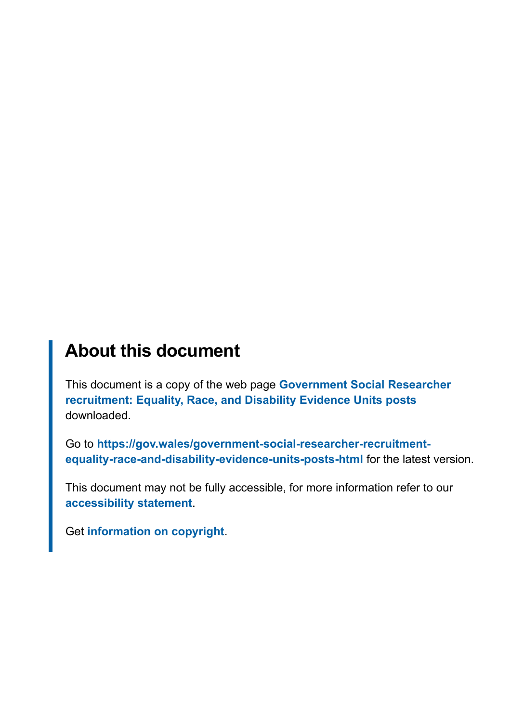## **About this document**

This document is a copy of the web page **[Government Social Researcher](https://gov.wales/government-social-researcher-recruitment-equality-race-and-disability-evidence-units-posts-html) [recruitment: Equality, Race, and Disability Evidence Units posts](https://gov.wales/government-social-researcher-recruitment-equality-race-and-disability-evidence-units-posts-html)** downloaded.

Go to **[https://gov.wales/government-social-researcher-recruitment](https://gov.wales/government-social-researcher-recruitment-equality-race-and-disability-evidence-units-posts-html)[equality-race-and-disability-evidence-units-posts-html](https://gov.wales/government-social-researcher-recruitment-equality-race-and-disability-evidence-units-posts-html)** for the latest version.

This document may not be fully accessible, for more information refer to our **[accessibility statement](https://gov.wales/accessibility-statement-govwales)**.

Get **[information on copyright](https://gov.wales/copyright-statement)**.